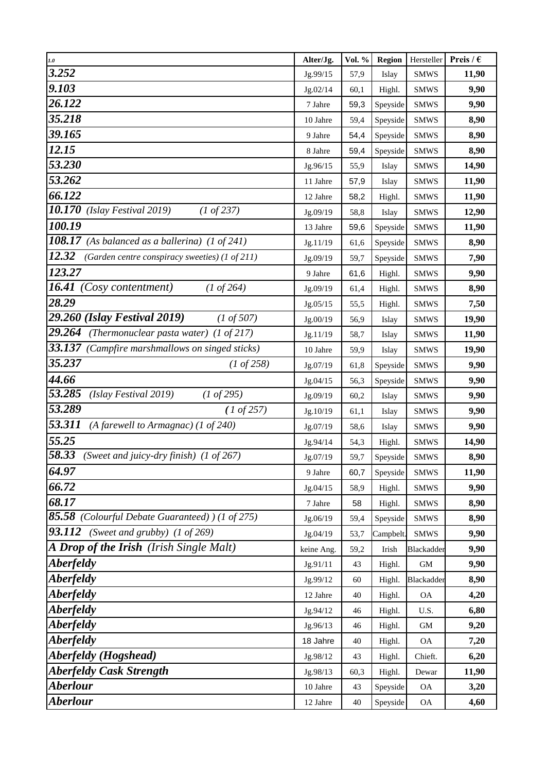| 1.0                                                                       | Alter/Jg.  | Vol. % | <b>Region</b> | Hersteller               | Preis / $\epsilon$ |
|---------------------------------------------------------------------------|------------|--------|---------------|--------------------------|--------------------|
| 3.252                                                                     | Jg.99/15   | 57,9   | Islay         | <b>SMWS</b>              | 11,90              |
| 9.103                                                                     | Jg.02/14   | 60,1   | Highl.        | <b>SMWS</b>              | 9,90               |
| 26.122                                                                    | 7 Jahre    | 59,3   | Speyside      | <b>SMWS</b>              | 9,90               |
| 35.218                                                                    | 10 Jahre   | 59,4   | Speyside      | <b>SMWS</b>              | 8,90               |
| 39.165                                                                    | 9 Jahre    | 54,4   | Speyside      | <b>SMWS</b>              | 8,90               |
| 12.15                                                                     | 8 Jahre    | 59,4   | Speyside      | <b>SMWS</b>              | 8,90               |
| 53.230                                                                    | Jg.96/15   | 55,9   | Islay         | <b>SMWS</b>              | 14,90              |
| 53.262                                                                    | 11 Jahre   | 57,9   | Islay         | <b>SMWS</b>              | 11,90              |
| 66.122                                                                    | 12 Jahre   | 58,2   | Highl.        | <b>SMWS</b>              | 11,90              |
| 10.170<br>(Islay Festival 2019)<br>$(1 \text{ of } 237)$                  | Jg.09/19   | 58,8   | Islay         | <b>SMWS</b>              | 12,90              |
| 100.19                                                                    | 13 Jahre   | 59,6   | Speyside      | <b>SMWS</b>              | 11,90              |
| $\overline{1}08.17$<br>(As balanced as a ballerina) $(1 \text{ of } 241)$ | Jg.11/19   | 61,6   | Speyside      | <b>SMWS</b>              | 8,90               |
| 12.32<br>(Garden centre conspiracy sweeties) (1 of 211)                   | Jg.09/19   | 59,7   | Speyside      | <b>SMWS</b>              | 7,90               |
| 123.27                                                                    | 9 Jahre    | 61,6   | Highl.        | <b>SMWS</b>              | 9,90               |
| 16.41<br><i>(Cosy contentment)</i><br>$(1 \text{ of } 264)$               | Jg.09/19   | 61,4   | Highl.        | <b>SMWS</b>              | 8,90               |
| 28.29                                                                     | Jg.05/15   | 55,5   | Highl.        | <b>SMWS</b>              | 7,50               |
| 29.260 (Islay Festival 2019)<br>$(1 \text{ of } 507)$                     | Jg.00/19   | 56,9   | Islay         | <b>SMWS</b>              | 19,90              |
| 29.264<br>(Thermonuclear pasta water) $(1 \text{ of } 217)$               | Jg.11/19   | 58,7   | Islay         | <b>SMWS</b>              | 11,90              |
| 33.137<br>(Campfire marshmallows on singed sticks)                        | 10 Jahre   | 59,9   | Islay         | <b>SMWS</b>              | 19,90              |
| 35.237<br>$(1 \text{ of } 258)$                                           | Jg.07/19   | 61,8   | Speyside      | <b>SMWS</b>              | 9,90               |
| 44.66                                                                     | Jg.04/15   | 56,3   | Speyside      | <b>SMWS</b>              | 9,90               |
| 53.285<br>(Islay Festival 2019)<br>(1 of 295)                             | Jg.09/19   | 60,2   | Islay         | <b>SMWS</b>              | 9,90               |
| 53.289<br>(1 of 257)                                                      | Jg.10/19   | 61,1   | Islay         | <b>SMWS</b>              | 9,90               |
| 53.311<br>(A farewell to Armagnac) (1 of 240)                             | Jg.07/19   | 58,6   | Islay         | <b>SMWS</b>              | 9,90               |
| 55.25                                                                     | Jg.94/14   | 54,3   | Highl.        | <b>SMWS</b>              | 14,90              |
| 58.33<br>(Sweet and juicy-dry finish) (1 of 267)                          | Jg.07/19   | 59,7   | Speyside      | <b>SMWS</b>              | 8,90               |
| 64.97                                                                     | 9 Jahre    | 60,7   | Speyside      | <b>SMWS</b>              | 11,90              |
| 66.72                                                                     | Jg.04/15   | 58,9   | Highl.        | <b>SMWS</b>              | 9,90               |
| 68.17                                                                     | 7 Jahre    | 58     | Highl.        | <b>SMWS</b>              | 8,90               |
| 85.58 (Colourful Debate Guaranteed) ) (1 of 275)                          | Jg.06/19   | 59,4   | Speyside      | <b>SMWS</b>              | 8,90               |
| 93.112<br>(Sweet and grubby) $(1 \text{ of } 269)$                        | Jg.04/19   | 53,7   | Campbelt.     | <b>SMWS</b>              | 9,90               |
| A Drop of the Irish (Irish Single Malt)                                   | keine Ang. | 59,2   | Irish         | Blackadder               | 9,90               |
| <i><b>Aberfeldy</b></i>                                                   | Jg.91/11   | 43     | Highl.        | $\mbox{GM}$              | 9,90               |
| <i><b>Aberfeldy</b></i>                                                   | Jg.99/12   | 60     | Highl.        | Blackadder               | 8,90               |
| <i><b>Aberfeldy</b></i>                                                   | 12 Jahre   | 40     | Highl.        | <b>OA</b>                | 4,20               |
| <i><b>Aberfeldy</b></i>                                                   | Jg.94/12   | 46     | Highl.        | U.S.                     | 6,80               |
| <i><b>Aberfeldy</b></i>                                                   | Jg.96/13   | 46     | Highl.        | <b>GM</b>                | 9,20               |
| <i><b>Aberfeldy</b></i>                                                   | 18 Jahre   | 40     | Highl.        | <b>OA</b>                | 7,20               |
| Aberfeldy (Hogshead)                                                      | Jg.98/12   | 43     | Highl.        | Chieft.                  | 6,20               |
| <b>Aberfeldy Cask Strength</b>                                            | Jg.98/13   | 60,3   | Highl.        | Dewar                    | 11,90              |
| <b>Aberlour</b>                                                           | 10 Jahre   | 43     | Speyside      | <b>OA</b>                | 3,20               |
| <b>Aberlour</b>                                                           | 12 Jahre   | 40     | Speyside      | $\mathcal{O}\mathcal{A}$ | 4,60               |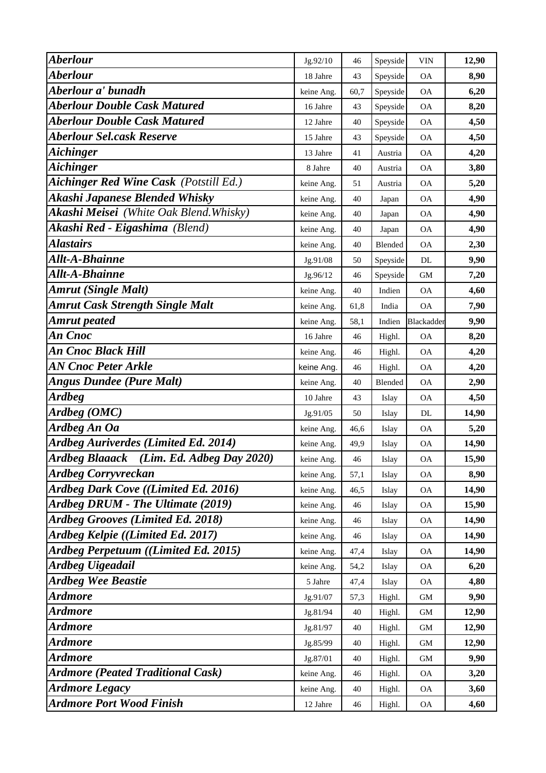| <b>Aberlour</b>                                    | Jg.92/10   | 46   | Speyside | VIN        | 12,90 |
|----------------------------------------------------|------------|------|----------|------------|-------|
| <b>Aberlour</b>                                    | 18 Jahre   | 43   | Speyside | <b>OA</b>  | 8,90  |
| Aberlour a' bunadh                                 | keine Ang. | 60,7 | Speyside | <b>OA</b>  | 6,20  |
| <b>Aberlour Double Cask Matured</b>                | 16 Jahre   | 43   | Speyside | <b>OA</b>  | 8,20  |
| <b>Aberlour Double Cask Matured</b>                | 12 Jahre   | 40   | Speyside | <b>OA</b>  | 4,50  |
| <b>Aberlour Sel.cask Reserve</b>                   | 15 Jahre   | 43   | Speyside | <b>OA</b>  | 4,50  |
| <b>Aichinger</b>                                   | 13 Jahre   | 41   | Austria  | <b>OA</b>  | 4,20  |
| <b>Aichinger</b>                                   | 8 Jahre    | 40   | Austria  | <b>OA</b>  | 3,80  |
| <b>Aichinger Red Wine Cask (Potstill Ed.)</b>      | keine Ang. | 51   | Austria  | <b>OA</b>  | 5,20  |
| Akashi Japanese Blended Whisky                     | keine Ang. | 40   | Japan    | <b>OA</b>  | 4,90  |
| <b>Akashi Meisei</b> (White Oak Blend. Whisky)     | keine Ang. | 40   | Japan    | <b>OA</b>  | 4,90  |
| Akashi Red - Eigashima (Blend)                     | keine Ang. | 40   | Japan    | <b>OA</b>  | 4,90  |
| <b>Alastairs</b>                                   | keine Ang. | 40   | Blended  | <b>OA</b>  | 2,30  |
| Allt-A-Bhainne                                     | Jg.91/08   | 50   | Speyside | DL         | 9,90  |
| Allt-A-Bhainne                                     | Jg.96/12   | 46   | Speyside | <b>GM</b>  | 7,20  |
| <b>Amrut (Single Malt)</b>                         | keine Ang. | 40   | Indien   | <b>OA</b>  | 4,60  |
| <b>Amrut Cask Strength Single Malt</b>             | keine Ang. | 61,8 | India    | <b>OA</b>  | 7,90  |
| Amrut peated                                       | keine Ang. | 58,1 | Indien   | Blackadder | 9,90  |
| An Cnoc                                            | 16 Jahre   | 46   | Highl.   | <b>OA</b>  | 8,20  |
| An Cnoc Black Hill                                 | keine Ang. | 46   | Highl.   | <b>OA</b>  | 4,20  |
| <b>AN Cnoc Peter Arkle</b>                         | keine Ang. | 46   | Highl.   | <b>OA</b>  | 4,20  |
| <b>Angus Dundee (Pure Malt)</b>                    | keine Ang. | 40   | Blended  | <b>OA</b>  | 2,90  |
| <b>Ardbeg</b>                                      | 10 Jahre   | 43   | Islay    | <b>OA</b>  | 4,50  |
| Ardbeg (OMC)                                       | Jg.91/05   | 50   | Islay    | DL         | 14,90 |
| <b>Ardbeg An Oa</b>                                | keine Ang. | 46,6 | Islay    | <b>OA</b>  | 5,20  |
| Ardbeg Auriverdes (Limited Ed. 2014)               | keine Ang. | 49,9 | Islay    | <b>OA</b>  | 14,90 |
| <b>Ardbeg Blaaack</b><br>(Lim. Ed. Adbeg Day 2020) | keine Ang. | 46   | Islay    | <b>OA</b>  | 15,90 |
| <b>Ardbeg Corryvreckan</b>                         | keine Ang. | 57,1 | Islay    | <b>OA</b>  | 8,90  |
| Ardbeg Dark Cove ((Limited Ed. 2016)               | keine Ang. | 46,5 | Islay    | <b>OA</b>  | 14,90 |
| Ardbeg DRUM - The Ultimate (2019)                  | keine Ang. | 46   | Islay    | <b>OA</b>  | 15,90 |
| <b>Ardbeg Grooves (Limited Ed. 2018)</b>           | keine Ang. | 46   | Islay    | <b>OA</b>  | 14,90 |
| Ardbeg Kelpie ((Limited Ed. 2017)                  | keine Ang. | 46   | Islay    | <b>OA</b>  | 14,90 |
| Ardbeg Perpetuum ((Limited Ed. 2015)               | keine Ang. | 47,4 | Islay    | <b>OA</b>  | 14,90 |
| <b>Ardbeg Uigeadail</b>                            | keine Ang. | 54,2 | Islay    | OA         | 6,20  |
| <b>Ardbeg Wee Beastie</b>                          | 5 Jahre    | 47,4 | Islay    | <b>OA</b>  | 4,80  |
| <b>Ardmore</b>                                     | Jg.91/07   | 57,3 | Highl.   | GМ         | 9,90  |
| Ardmore                                            | Jg.81/94   | 40   | Highl.   | GM         | 12,90 |
| Ardmore                                            | Jg.81/97   | 40   | Highl.   | GM         | 12,90 |
| Ardmore                                            | Jg.85/99   | 40   | Highl.   | GM         | 12,90 |
| <b>Ardmore</b>                                     | Jg.87/01   | 40   | Highl.   | GM         | 9,90  |
| <b>Ardmore (Peated Traditional Cask)</b>           | keine Ang. | 46   | Highl.   | <b>OA</b>  | 3,20  |
| <b>Ardmore Legacy</b>                              | keine Ang. | 40   | Highl.   | <b>OA</b>  | 3,60  |
| <b>Ardmore Port Wood Finish</b>                    | 12 Jahre   | 46   | Highl.   | <b>OA</b>  | 4,60  |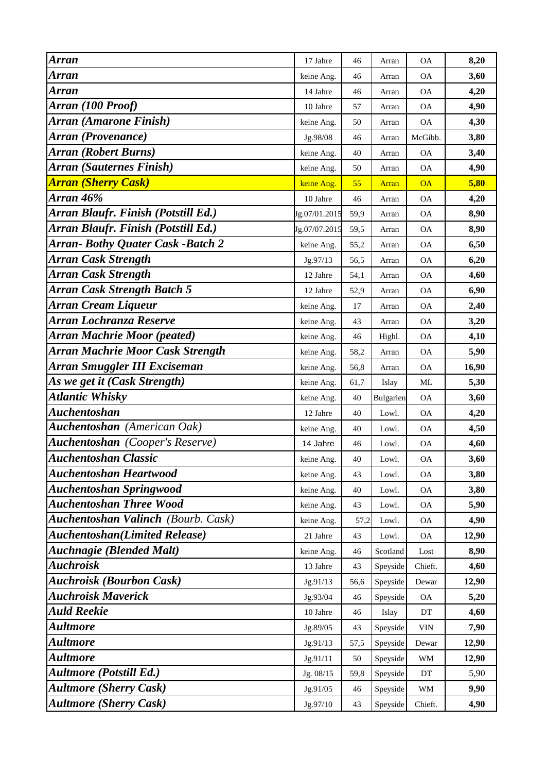| <b>Arran</b>                              | 17 Jahre      | 46   | Arran        | <b>OA</b>  | 8,20  |
|-------------------------------------------|---------------|------|--------------|------------|-------|
| Arran                                     | keine Ang.    | 46   | Arran        | <b>OA</b>  | 3,60  |
| <b>Arran</b>                              | 14 Jahre      | 46   | Arran        | <b>OA</b>  | 4,20  |
| Arran (100 Proof)                         | 10 Jahre      | 57   | Arran        | <b>OA</b>  | 4,90  |
| Arran (Amarone Finish)                    | keine Ang.    | 50   | Arran        | <b>OA</b>  | 4,30  |
| <b>Arran (Provenance)</b>                 | Jg.98/08      | 46   | Arran        | McGibb.    | 3,80  |
| <b>Arran (Robert Burns)</b>               | keine Ang.    | 40   | Arran        | <b>OA</b>  | 3,40  |
| <b>Arran (Sauternes Finish)</b>           | keine Ang.    | 50   | Arran        | <b>OA</b>  | 4,90  |
| <b>Arran (Sherry Cask)</b>                | keine Ang.    | 55   | <b>Arran</b> | <b>OA</b>  | 5,80  |
| Arran 46%                                 | 10 Jahre      | 46   | Arran        | <b>OA</b>  | 4,20  |
| Arran Blaufr. Finish (Potstill Ed.)       | Jg.07/01.2015 | 59,9 | Arran        | <b>OA</b>  | 8,90  |
| Arran Blaufr. Finish (Potstill Ed.)       | Jg.07/07.2015 | 59,5 | Arran        | <b>OA</b>  | 8,90  |
| <b>Arran- Bothy Quater Cask -Batch 2</b>  | keine Ang.    | 55,2 | Arran        | <b>OA</b>  | 6,50  |
| <b>Arran Cask Strength</b>                | Jg.97/13      | 56,5 | Arran        | <b>OA</b>  | 6,20  |
| <b>Arran Cask Strength</b>                | 12 Jahre      | 54,1 | Arran        | <b>OA</b>  | 4,60  |
| <b>Arran Cask Strength Batch 5</b>        | 12 Jahre      | 52,9 | Arran        | <b>OA</b>  | 6,90  |
| Arran Cream Liqueur                       | keine Ang.    | 17   | Arran        | <b>OA</b>  | 2,40  |
| Arran Lochranza Reserve                   | keine Ang.    | 43   | Arran        | <b>OA</b>  | 3,20  |
| <b>Arran Machrie Moor (peated)</b>        | keine Ang.    | 46   | Highl.       | <b>OA</b>  | 4,10  |
| <b>Arran Machrie Moor Cask Strength</b>   | keine Ang.    | 58,2 | Arran        | <b>OA</b>  | 5,90  |
| <b>Arran Smuggler III Exciseman</b>       | keine Ang.    | 56,8 | Arran        | <b>OA</b>  | 16,90 |
| As we get it (Cask Strength)              | keine Ang.    | 61,7 | Islay        | ML         | 5,30  |
| <b>Atlantic Whisky</b>                    | keine Ang.    | 40   | Bulgarien    | <b>OA</b>  | 3,60  |
| <b>Auchentoshan</b>                       | 12 Jahre      | 40   | Lowl.        | <b>OA</b>  | 4,20  |
| <b>Auchentoshan</b> (American Oak)        | keine Ang.    | 40   | Lowl.        | <b>OA</b>  | 4,50  |
| <b>Auchentoshan</b> (Cooper's Reserve)    | 14 Jahre      | 46   | Lowl.        | <b>OA</b>  | 4,60  |
| <b>Auchentoshan Classic</b>               | keine Ang.    | 40   | Lowl.        | <b>OA</b>  | 3,60  |
| <b>Auchentoshan Heartwood</b>             | keine Ang.    | 43   | Lowl.        | <b>OA</b>  | 3,80  |
| <b>Auchentoshan Springwood</b>            | keine Ang.    | 40   | Lowl.        | <b>OA</b>  | 3,80  |
| <b>Auchentoshan Three Wood</b>            | keine Ang.    | 43   | Lowl.        | OA         | 5,90  |
| <b>Auchentoshan Valinch</b> (Bourb. Cask) | keine Ang.    | 57,2 | Lowl.        | <b>OA</b>  | 4,90  |
| <b>Auchentoshan</b> (Limited Release)     | 21 Jahre      | 43   | Lowl.        | <b>OA</b>  | 12,90 |
| <b>Auchnagie (Blended Malt)</b>           | keine Ang.    | 46   | Scotland     | Lost       | 8,90  |
| <b>Auchroisk</b>                          | 13 Jahre      | 43   | Speyside     | Chieft.    | 4,60  |
| <b>Auchroisk (Bourbon Cask)</b>           | Jg.91/13      | 56,6 | Speyside     | Dewar      | 12,90 |
| <b>Auchroisk Maverick</b>                 | Jg.93/04      | 46   | Speyside     | OA         | 5,20  |
| <b>Auld Reekie</b>                        | 10 Jahre      | 46   | Islay        | DT         | 4,60  |
| <b>Aultmore</b>                           | Jg.89/05      | 43   | Speyside     | <b>VIN</b> | 7,90  |
| Aultmore                                  | Jg.91/13      | 57,5 | Speyside     | Dewar      | 12,90 |
| Aultmore                                  | Jg.91/11      | 50   | Speyside     | WM         | 12,90 |
| <b>Aultmore (Potstill Ed.)</b>            | Jg. 08/15     | 59,8 | Speyside     | DT         | 5,90  |
| <b>Aultmore (Sherry Cask)</b>             | Jg.91/05      | 46   | Speyside     | WM         | 9,90  |
| <b>Aultmore (Sherry Cask)</b>             | Jg.97/10      | 43   | Speyside     | Chieft.    | 4,90  |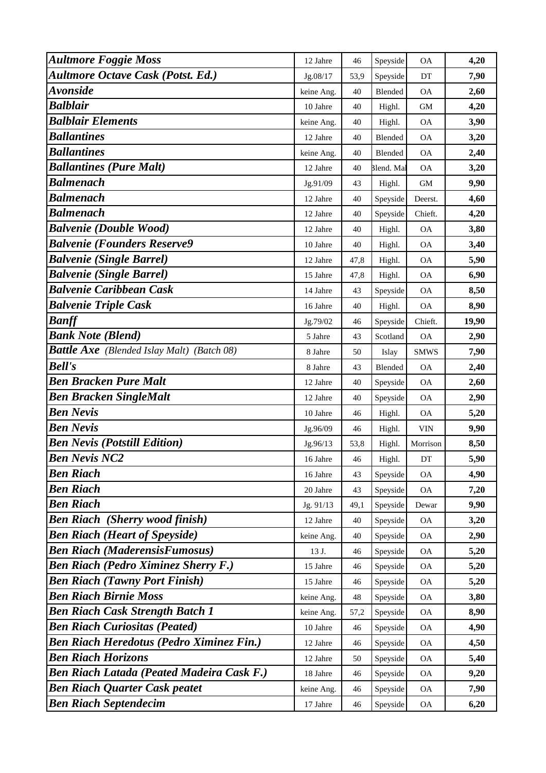| <b>Aultmore Foggie Moss</b>                       | 12 Jahre   | 46   | Speyside   | <b>OA</b>   | 4,20  |
|---------------------------------------------------|------------|------|------------|-------------|-------|
| <b>Aultmore Octave Cask (Potst. Ed.)</b>          | Jg.08/17   | 53,9 | Speyside   | DT          | 7,90  |
| <b>Avonside</b>                                   | keine Ang. | 40   | Blended    | <b>OA</b>   | 2,60  |
| <b>Balblair</b>                                   | 10 Jahre   | 40   | Highl.     | <b>GM</b>   | 4,20  |
| <b>Balblair Elements</b>                          | keine Ang. | 40   | Highl.     | <b>OA</b>   | 3,90  |
| <b>Ballantines</b>                                | 12 Jahre   | 40   | Blended    | <b>OA</b>   | 3,20  |
| <b>Ballantines</b>                                | keine Ang. | 40   | Blended    | <b>OA</b>   | 2,40  |
| <b>Ballantines (Pure Malt)</b>                    | 12 Jahre   | 40   | Blend. Mal | <b>OA</b>   | 3,20  |
| <b>Balmenach</b>                                  | Jg.91/09   | 43   | Highl.     | <b>GM</b>   | 9,90  |
| <b>Balmenach</b>                                  | 12 Jahre   | 40   | Speyside   | Deerst.     | 4,60  |
| <b>Balmenach</b>                                  | 12 Jahre   | 40   | Speyside   | Chieft.     | 4,20  |
| <b>Balvenie (Double Wood)</b>                     | 12 Jahre   | 40   | Highl.     | <b>OA</b>   | 3,80  |
| <b>Balvenie (Founders Reserve9</b>                | 10 Jahre   | 40   | Highl.     | <b>OA</b>   | 3,40  |
| <b>Balvenie (Single Barrel)</b>                   | 12 Jahre   | 47,8 | Highl.     | <b>OA</b>   | 5,90  |
| <b>Balvenie (Single Barrel)</b>                   | 15 Jahre   | 47,8 | Highl.     | <b>OA</b>   | 6,90  |
| <b>Balvenie Caribbean Cask</b>                    | 14 Jahre   | 43   | Speyside   | <b>OA</b>   | 8,50  |
| <b>Balvenie Triple Cask</b>                       | 16 Jahre   | 40   | Highl.     | <b>OA</b>   | 8,90  |
| <b>Banff</b>                                      | Jg.79/02   | 46   | Speyside   | Chieft.     | 19,90 |
| <b>Bank Note (Blend)</b>                          | 5 Jahre    | 43   | Scotland   | <b>OA</b>   | 2,90  |
| <b>Battle Axe</b> (Blended Islay Malt) (Batch 08) | 8 Jahre    | 50   | Islay      | <b>SMWS</b> | 7,90  |
| <b>Bell's</b>                                     | 8 Jahre    | 43   | Blended    | <b>OA</b>   | 2,40  |
| <b>Ben Bracken Pure Malt</b>                      | 12 Jahre   | 40   | Speyside   | <b>OA</b>   | 2,60  |
| <b>Ben Bracken SingleMalt</b>                     | 12 Jahre   | 40   | Speyside   | <b>OA</b>   | 2,90  |
| <b>Ben Nevis</b>                                  | 10 Jahre   | 46   | Highl.     | <b>OA</b>   | 5,20  |
| <b>Ben Nevis</b>                                  | Jg.96/09   | 46   | Highl.     | <b>VIN</b>  | 9,90  |
| <b>Ben Nevis (Potstill Edition)</b>               | Jg.96/13   | 53,8 | Highl.     | Morrison    | 8,50  |
| <b>Ben Nevis NC2</b>                              | 16 Jahre   | 46   | Highl.     | DT          | 5,90  |
| <b>Ben Riach</b>                                  | 16 Jahre   | 43   | Speyside   | <b>OA</b>   | 4,90  |
| <b>Ben Riach</b>                                  | 20 Jahre   | 43   | Speyside   | OA          | 7,20  |
| <b>Ben Riach</b>                                  | Jg. 91/13  | 49,1 | Speyside   | Dewar       | 9,90  |
| <b>Ben Riach</b> (Sherry wood finish)             | 12 Jahre   | 40   | Speyside   | OA          | 3,20  |
| <b>Ben Riach (Heart of Speyside)</b>              | keine Ang. | 40   | Speyside   | <b>OA</b>   | 2,90  |
| <b>Ben Riach (MaderensisFumosus)</b>              | 13 J.      | 46   | Speyside   | <b>OA</b>   | 5,20  |
| <b>Ben Riach (Pedro Ximinez Sherry F.)</b>        | 15 Jahre   | 46   | Speyside   | <b>OA</b>   | 5,20  |
| <b>Ben Riach (Tawny Port Finish)</b>              | 15 Jahre   | 46   | Speyside   | <b>OA</b>   | 5,20  |
| <b>Ben Riach Birnie Moss</b>                      | keine Ang. | 48   | Speyside   | <b>OA</b>   | 3,80  |
| <b>Ben Riach Cask Strength Batch 1</b>            | keine Ang. | 57,2 | Speyside   | <b>OA</b>   | 8,90  |
| <b>Ben Riach Curiositas (Peated)</b>              | 10 Jahre   | 46   | Speyside   | OA          | 4,90  |
| <b>Ben Riach Heredotus (Pedro Ximinez Fin.)</b>   | 12 Jahre   | 46   | Speyside   | <b>OA</b>   | 4,50  |
| <b>Ben Riach Horizons</b>                         | 12 Jahre   | 50   | Speyside   | <b>OA</b>   | 5,40  |
| <b>Ben Riach Latada (Peated Madeira Cask F.)</b>  | 18 Jahre   | 46   | Speyside   | <b>OA</b>   | 9,20  |
| <b>Ben Riach Quarter Cask peatet</b>              | keine Ang. | 46   | Speyside   | <b>OA</b>   | 7,90  |
| <b>Ben Riach Septendecim</b>                      | 17 Jahre   | 46   | Speyside   | <b>OA</b>   | 6,20  |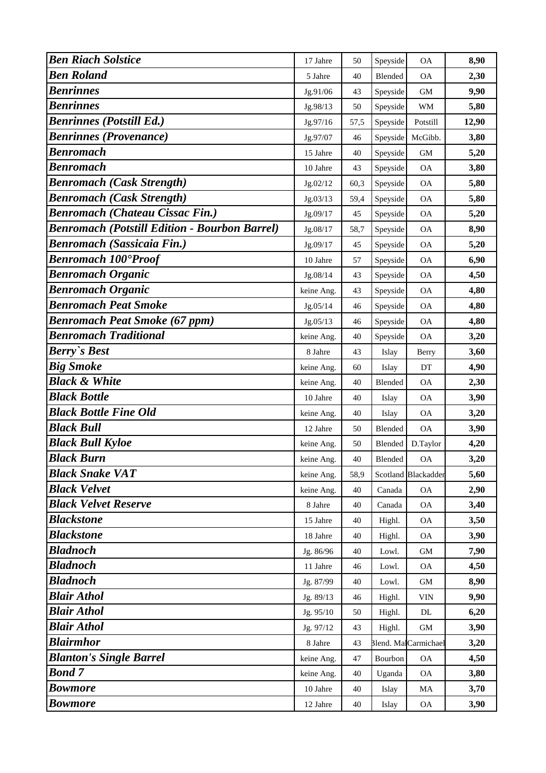| <b>Ben Riach Solstice</b>                            | 17 Jahre   | 50   | Speyside | <b>OA</b>            | 8,90  |
|------------------------------------------------------|------------|------|----------|----------------------|-------|
| <b>Ben Roland</b>                                    | 5 Jahre    | 40   | Blended  | <b>OA</b>            | 2,30  |
| <b>Benrinnes</b>                                     | Jg.91/06   | 43   | Speyside | <b>GM</b>            | 9,90  |
| <b>Benrinnes</b>                                     | Jg.98/13   | 50   | Speyside | WM                   | 5,80  |
| <b>Benrinnes (Potstill Ed.)</b>                      | Jg.97/16   | 57,5 | Speyside | Potstill             | 12,90 |
| <b>Benrinnes (Provenance)</b>                        | Jg.97/07   | 46   | Speyside | McGibb.              | 3,80  |
| <b>Benromach</b>                                     | 15 Jahre   | 40   | Speyside | $\mbox{GM}$          | 5,20  |
| <b>Benromach</b>                                     | 10 Jahre   | 43   | Speyside | <b>OA</b>            | 3,80  |
| <b>Benromach (Cask Strength)</b>                     | Jg.02/12   | 60,3 | Speyside | <b>OA</b>            | 5,80  |
| <b>Benromach (Cask Strength)</b>                     | Jg.03/13   | 59,4 | Speyside | <b>OA</b>            | 5,80  |
| <b>Benromach (Chateau Cissac Fin.)</b>               | Jg.09/17   | 45   | Speyside | <b>OA</b>            | 5,20  |
| <b>Benromach (Potstill Edition - Bourbon Barrel)</b> | Jg.08/17   | 58,7 | Speyside | <b>OA</b>            | 8,90  |
| <b>Benromach (Sassicaia Fin.)</b>                    | Jg.09/17   | 45   | Speyside | $\rm OA$             | 5,20  |
| <b>Benromach 100°Proof</b>                           | 10 Jahre   | 57   | Speyside | <b>OA</b>            | 6,90  |
| <b>Benromach Organic</b>                             | Jg.08/14   | 43   | Speyside | <b>OA</b>            | 4,50  |
| <b>Benromach Organic</b>                             | keine Ang. | 43   | Speyside | <b>OA</b>            | 4,80  |
| <b>Benromach Peat Smoke</b>                          | Jg.05/14   | 46   | Speyside | <b>OA</b>            | 4,80  |
| <b>Benromach Peat Smoke (67 ppm)</b>                 | Jg.05/13   | 46   | Speyside | <b>OA</b>            | 4,80  |
| <b>Benromach Traditional</b>                         | keine Ang. | 40   | Speyside | <b>OA</b>            | 3,20  |
| <b>Berry's Best</b>                                  | 8 Jahre    | 43   | Islay    | Berry                | 3,60  |
| <b>Big Smoke</b>                                     | keine Ang. | 60   | Islay    | DT                   | 4,90  |
| <b>Black &amp; White</b>                             | keine Ang. | 40   | Blended  | <b>OA</b>            | 2,30  |
| <b>Black Bottle</b>                                  | 10 Jahre   | 40   | Islay    | <b>OA</b>            | 3,90  |
| <b>Black Bottle Fine Old</b>                         | keine Ang. | 40   | Islay    | <b>OA</b>            | 3,20  |
| <b>Black Bull</b>                                    | 12 Jahre   | 50   | Blended  | <b>OA</b>            | 3,90  |
| <b>Black Bull Kyloe</b>                              | keine Ang. | 50   | Blended  | D.Taylor             | 4,20  |
| <b>Black Burn</b>                                    | keine Ang. | 40   | Blended  | <b>OA</b>            | 3,20  |
| <b>Black Snake VAT</b>                               | keine Ang. | 58,9 |          | Scotland Blackadder  | 5,60  |
| <b>Black Velvet</b>                                  | keine Ang. | 40   | Canada   | $\rm OA$             | 2,90  |
| <b>Black Velvet Reserve</b>                          | 8 Jahre    | 40   | Canada   | <b>OA</b>            | 3,40  |
| <b>Blackstone</b>                                    | 15 Jahre   | 40   | Highl.   | <b>OA</b>            | 3,50  |
| <b>Blackstone</b>                                    | 18 Jahre   | 40   | Highl.   | <b>OA</b>            | 3,90  |
| <b>Bladnoch</b>                                      | Jg. 86/96  | 40   | Lowl.    | GM                   | 7,90  |
| <b>Bladnoch</b>                                      | 11 Jahre   | 46   | Lowl.    | <b>OA</b>            | 4,50  |
| <b>Bladnoch</b>                                      | Jg. 87/99  | 40   | Lowl.    | <b>GM</b>            | 8,90  |
| <b>Blair Athol</b>                                   | Jg. 89/13  | 46   | Highl.   | VIN                  | 9,90  |
| <b>Blair Athol</b>                                   | Jg. 95/10  | 50   | Highl.   | DL                   | 6,20  |
| <b>Blair Athol</b>                                   | Jg. 97/12  | 43   | Highl.   | GM                   | 3,90  |
| <b>Blairmhor</b>                                     | 8 Jahre    | 43   |          | Blend. MalCarmichael | 3,20  |
| <b>Blanton's Single Barrel</b>                       | keine Ang. | 47   | Bourbon  | <b>OA</b>            | 4,50  |
| <b>Bond 7</b>                                        | keine Ang. | 40   | Uganda   | <b>OA</b>            | 3,80  |
| <b>Bowmore</b>                                       | 10 Jahre   | 40   | Islay    | MA                   | 3,70  |
| <b>Bowmore</b>                                       | 12 Jahre   | 40   | Islay    | OA                   | 3,90  |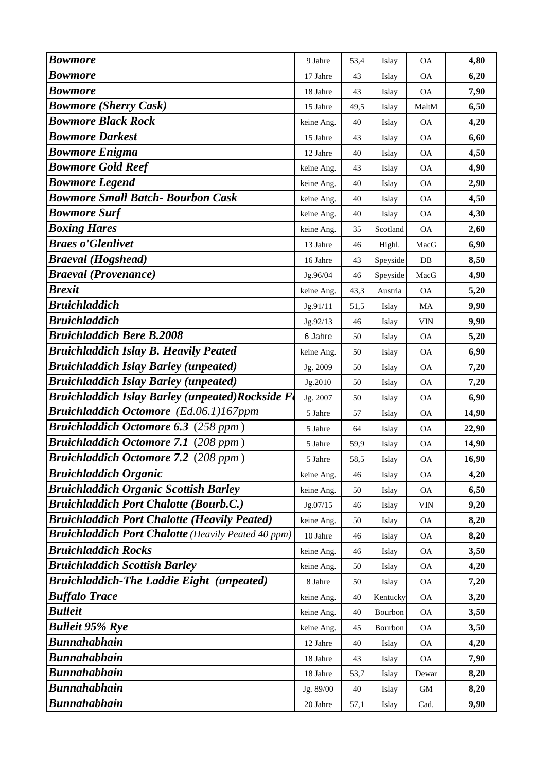| <b>Bowmore</b>                                             | 9 Jahre    | 53,4 | Islay    | <b>OA</b>     | 4,80  |
|------------------------------------------------------------|------------|------|----------|---------------|-------|
| <b>Bowmore</b>                                             | 17 Jahre   | 43   | Islay    | <b>OA</b>     | 6,20  |
| <b>Bowmore</b>                                             | 18 Jahre   | 43   | Islay    | <b>OA</b>     | 7,90  |
| <b>Bowmore (Sherry Cask)</b>                               | 15 Jahre   | 49,5 | Islay    | MaltM         | 6,50  |
| <b>Bowmore Black Rock</b>                                  | keine Ang. | 40   | Islay    | <b>OA</b>     | 4,20  |
| <b>Bowmore Darkest</b>                                     | 15 Jahre   | 43   | Islay    | <b>OA</b>     | 6,60  |
| <b>Bowmore Enigma</b>                                      | 12 Jahre   | 40   | Islay    | <b>OA</b>     | 4,50  |
| <b>Bowmore Gold Reef</b>                                   | keine Ang. | 43   | Islay    | <b>OA</b>     | 4,90  |
| <b>Bowmore Legend</b>                                      | keine Ang. | 40   | Islay    | <b>OA</b>     | 2,90  |
| <b>Bowmore Small Batch- Bourbon Cask</b>                   | keine Ang. | 40   | Islay    | <b>OA</b>     | 4,50  |
| <b>Bowmore Surf</b>                                        | keine Ang. | 40   | Islay    | <b>OA</b>     | 4,30  |
| <b>Boxing Hares</b>                                        | keine Ang. | 35   | Scotland | <b>OA</b>     | 2,60  |
| <b>Braes o'Glenlivet</b>                                   | 13 Jahre   | 46   | Highl.   | MacG          | 6,90  |
| <b>Braeval</b> (Hogshead)                                  | 16 Jahre   | 43   | Speyside | DB            | 8,50  |
| <b>Braeval</b> (Provenance)                                | Jg.96/04   | 46   | Speyside | MacG          | 4,90  |
| <b>Brexit</b>                                              | keine Ang. | 43,3 | Austria  | <b>OA</b>     | 5,20  |
| <b>Bruichladdich</b>                                       | Jg.91/11   | 51,5 | Islay    | MA            | 9,90  |
| <b>Bruichladdich</b>                                       | Jg.92/13   | 46   | Islay    | VIN           | 9,90  |
| <b>Bruichladdich Bere B.2008</b>                           | 6 Jahre    | 50   | Islay    | <b>OA</b>     | 5,20  |
| <b>Bruichladdich Islay B. Heavily Peated</b>               | keine Ang. | 50   | Islay    | <b>OA</b>     | 6,90  |
| <b>Bruichladdich Islay Barley (unpeated)</b>               | Jg. 2009   | 50   | Islay    | <b>OA</b>     | 7,20  |
| <b>Bruichladdich Islay Barley (unpeated)</b>               | Jg.2010    | 50   | Islay    | <b>OA</b>     | 7,20  |
| <b>Bruichladdich Islay Barley (unpeated)Rockside F</b>     | Jg. 2007   | 50   | Islay    | <b>OA</b>     | 6,90  |
| <b>Bruichladdich Octomore</b> (Ed.06.1)167ppm              | 5 Jahre    | 57   | Islay    | <b>OA</b>     | 14,90 |
| <b>Bruichladdich Octomore 6.3</b> (258 ppm)                | 5 Jahre    | 64   | Islay    | $\mathsf{OA}$ | 22,90 |
| <b>Bruichladdich Octomore 7.1 (208 ppm)</b>                | 5 Jahre    | 59,9 | Islay    | <b>OA</b>     | 14,90 |
| Bruichladdich Octomore 7.2 (208 ppm)                       | 5 Jahre    | 58,5 | Islay    | <b>OA</b>     | 16,90 |
| <b>Bruichladdich Organic</b>                               | keine Ang. | 46   | Islay    | <b>OA</b>     | 4,20  |
| <b>Bruichladdich Organic Scottish Barley</b>               | keine Ang. | 50   | Islay    | <b>OA</b>     | 6,50  |
| <b>Bruichladdich Port Chalotte (Bourb.C.)</b>              | Jg.07/15   | 46   | Islay    | <b>VIN</b>    | 9,20  |
| <b>Bruichladdich Port Chalotte (Heavily Peated)</b>        | keine Ang. | 50   | Islay    | <b>OA</b>     | 8,20  |
| <b>Bruichladdich Port Chalotte</b> (Heavily Peated 40 ppm) | 10 Jahre   | 46   | Islay    | <b>OA</b>     | 8,20  |
| <b>Bruichladdich Rocks</b>                                 | keine Ang. | 46   | Islay    | <b>OA</b>     | 3,50  |
| <b>Bruichladdich Scottish Barley</b>                       | keine Ang. | 50   | Islay    | <b>OA</b>     | 4,20  |
| <b>Bruichladdich-The Laddie Eight (unpeated)</b>           | 8 Jahre    | 50   | Islay    | <b>OA</b>     | 7,20  |
| <b>Buffalo Trace</b>                                       | keine Ang. | 40   | Kentucky | <b>OA</b>     | 3,20  |
| <b>Bulleit</b>                                             | keine Ang. | 40   | Bourbon  | <b>OA</b>     | 3,50  |
| <b>Bulleit 95% Rye</b>                                     | keine Ang. | 45   | Bourbon  | <b>OA</b>     | 3,50  |
| <b>Bunnahabhain</b>                                        | 12 Jahre   | 40   | Islay    | <b>OA</b>     | 4,20  |
| <b>Bunnahabhain</b>                                        | 18 Jahre   | 43   | Islay    | <b>OA</b>     | 7,90  |
| <b>Bunnahabhain</b>                                        | 18 Jahre   | 53,7 | Islay    | Dewar         | 8,20  |
| <b>Bunnahabhain</b>                                        | Jg. 89/00  | 40   | Islay    | GM            | 8,20  |
| <b>Bunnahabhain</b>                                        | 20 Jahre   | 57,1 | Islay    | Cad.          | 9,90  |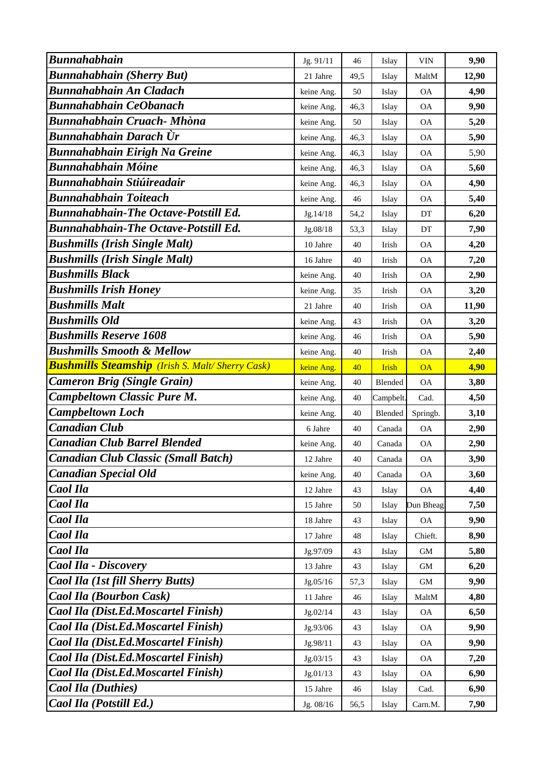| <b>Bunnahabhain</b>                                     | Jg. 91/11  | 46   | Islay        | <b>VIN</b> | 9,90  |
|---------------------------------------------------------|------------|------|--------------|------------|-------|
| <b>Bunnahabhain (Sherry But)</b>                        | 21 Jahre   | 49,5 | Islay        | MaltM      | 12,90 |
| <b>Bunnahabhain An Cladach</b>                          | keine Ang. | 50   | Islay        | <b>OA</b>  | 4,90  |
| <b>Bunnahabhain CeObanach</b>                           | keine Ang. | 46,3 | Islay        | <b>OA</b>  | 9,90  |
| <b>Bunnahabhain Cruach- Mhòna</b>                       | keine Ang. | 50   | Islay        | <b>OA</b>  | 5,20  |
| Bunnahabhain Darach Ùr                                  | keine Ang. | 46,3 | Islay        | <b>OA</b>  | 5,90  |
| <b>Bunnahabhain Eirigh Na Greine</b>                    | keine Ang. | 46,3 | Islay        | <b>OA</b>  | 5,90  |
| <b>Bunnahabhain Móine</b>                               | keine Ang. | 46,3 | Islay        | <b>OA</b>  | 5,60  |
| <b>Bunnahabhain Stiúireadair</b>                        | keine Ang. | 46,3 | Islay        | <b>OA</b>  | 4,90  |
| <b>Bunnahabhain Toiteach</b>                            | keine Ang. | 46   | Islay        | <b>OA</b>  | 5,40  |
| <b>Bunnahabhain-The Octave-Potstill Ed.</b>             | Jg.14/18   | 54,2 | Islay        | DT         | 6,20  |
| <b>Bunnahabhain-The Octave-Potstill Ed.</b>             | Jg.08/18   | 53,3 | Islay        | DT         | 7,90  |
| <b>Bushmills (Irish Single Malt)</b>                    | 10 Jahre   | 40   | Irish        | <b>OA</b>  | 4,20  |
| <b>Bushmills (Irish Single Malt)</b>                    | 16 Jahre   | 40   | Irish        | <b>OA</b>  | 7,20  |
| <b>Bushmills Black</b>                                  | keine Ang. | 40   | Irish        | <b>OA</b>  | 2,90  |
| <b>Bushmills Irish Honey</b>                            | keine Ang. | 35   | Irish        | <b>OA</b>  | 3,20  |
| <b>Bushmills Malt</b>                                   | 21 Jahre   | 40   | Irish        | <b>OA</b>  | 11,90 |
| <b>Bushmills Old</b>                                    | keine Ang. | 43   | Irish        | <b>OA</b>  | 3,20  |
| <b>Bushmills Reserve 1608</b>                           | keine Ang. | 46   | Irish        | <b>OA</b>  | 5,90  |
| <b>Bushmills Smooth &amp; Mellow</b>                    | keine Ang. | 40   | Irish        | <b>OA</b>  | 2,40  |
| <b>Bushmills Steamship</b> (Irish S. Malt/ Sherry Cask) | keine Ang. | 40   | <b>Irish</b> | <b>OA</b>  | 4,90  |
| <b>Cameron Brig (Single Grain)</b>                      | keine Ang. | 40   | Blended      | <b>OA</b>  | 3,80  |
| <b>Campbeltown Classic Pure M.</b>                      | keine Ang. | 40   | Campbelt.    | Cad.       | 4,50  |
| <b>Campbeltown Loch</b>                                 | keine Ang. | 40   | Blended      | Springb.   | 3,10  |
| <b>Canadian Club</b>                                    | 6 Jahre    | 40   | Canada       | <b>OA</b>  | 2,90  |
| <b>Canadian Club Barrel Blended</b>                     | keine Ang. | 40   | Canada       | <b>OA</b>  | 2,90  |
| Canadian Club Classic (Small Batch)                     | 12 Jahre   | 40   | Canada       | <b>OA</b>  | 3,90  |
| <b>Canadian Special Old</b>                             | keine Ang. | 40   | Canada       | <b>OA</b>  | 3,60  |
| Caol Ila                                                | 12 Jahre   | 43   | Islay        | <b>OA</b>  | 4,40  |
| Caol Ila                                                | 15 Jahre   | 50   | Islay        | Dun Bheag  | 7,50  |
| Caol Ila                                                | 18 Jahre   | 43   | Islay        | <b>OA</b>  | 9,90  |
| Caol Ila                                                | 17 Jahre   | 48   | Islay        | Chieft.    | 8,90  |
| <b>Caol Ila</b>                                         | Jg.97/09   | 43   | Islay        | GM         | 5,80  |
| Caol Ila - Discovery                                    | 13 Jahre   | 43   | Islay        | GM         | 6,20  |
| <b>Caol Ila (1st fill Sherry Butts)</b>                 | Jg.05/16   | 57,3 | Islay        | GM         | 9,90  |
| <b>Caol Ila (Bourbon Cask)</b>                          | 11 Jahre   | 46   | Islay        | MaltM      | 4,80  |
| Caol Ila (Dist.Ed.Moscartel Finish)                     | Jg.02/14   | 43   | Islay        | <b>OA</b>  | 6,50  |
| Caol Ila (Dist.Ed.Moscartel Finish)                     | Jg.93/06   | 43   | Islay        | <b>OA</b>  | 9,90  |
| Caol Ila (Dist.Ed.Moscartel Finish)                     | Jg.98/11   | 43   | Islay        | <b>OA</b>  | 9,90  |
| Caol Ila (Dist.Ed.Moscartel Finish)                     | Jg.03/15   | 43   | Islay        | <b>OA</b>  | 7,20  |
| Caol Ila (Dist.Ed.Moscartel Finish)                     | Jg.01/13   | 43   | Islay        | <b>OA</b>  | 6,90  |
| <b>Caol Ila (Duthies)</b>                               | 15 Jahre   | 46   | Islay        | Cad.       | 6,90  |
| Caol Ila (Potstill Ed.)                                 | Jg. 08/16  | 56,5 | Islay        | Carn.M.    | 7,90  |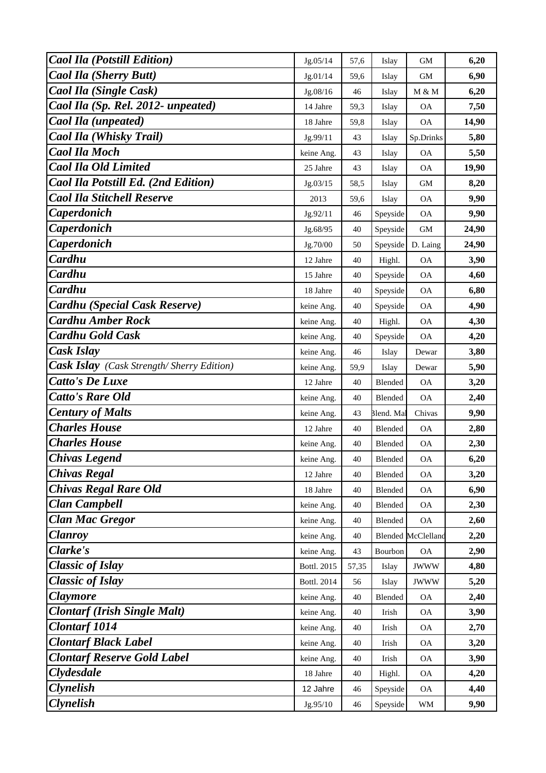| <b>Caol Ila (Potstill Edition)</b>               | Jg.05/14    | 57,6  | Islay      | GM                        | 6,20  |
|--------------------------------------------------|-------------|-------|------------|---------------------------|-------|
| <b>Caol Ila (Sherry Butt)</b>                    | Jg.01/14    | 59,6  | Islay      | <b>GM</b>                 | 6,90  |
| Caol Ila (Single Cask)                           | Jg.08/16    | 46    | Islay      | M & M                     | 6,20  |
| Caol Ila (Sp. Rel. 2012- unpeated)               | 14 Jahre    | 59,3  | Islay      | <b>OA</b>                 | 7,50  |
| Caol Ila (unpeated)                              | 18 Jahre    | 59,8  | Islay      | <b>OA</b>                 | 14,90 |
| <b>Caol Ila (Whisky Trail)</b>                   | Jg.99/11    | 43    | Islay      | Sp.Drinks                 | 5,80  |
| <b>Caol Ila Moch</b>                             | keine Ang.  | 43    | Islay      | <b>OA</b>                 | 5,50  |
| <b>Caol Ila Old Limited</b>                      | 25 Jahre    | 43    | Islay      | <b>OA</b>                 | 19,90 |
| Caol Ila Potstill Ed. (2nd Edition)              | Jg.03/15    | 58,5  | Islay      | <b>GM</b>                 | 8,20  |
| <b>Caol Ila Stitchell Reserve</b>                | 2013        | 59,6  | Islay      | <b>OA</b>                 | 9,90  |
| Caperdonich                                      | Jg.92/11    | 46    | Speyside   | <b>OA</b>                 | 9,90  |
| <b>Caperdonich</b>                               | Jg.68/95    | 40    | Speyside   | <b>GM</b>                 | 24,90 |
| Caperdonich                                      | Jg.70/00    | 50    | Speyside   | D. Laing                  | 24,90 |
| Cardhu                                           | 12 Jahre    | 40    | Highl.     | <b>OA</b>                 | 3,90  |
| Cardhu                                           | 15 Jahre    | 40    | Speyside   | <b>OA</b>                 | 4,60  |
| Cardhu                                           | 18 Jahre    | 40    | Speyside   | <b>OA</b>                 | 6,80  |
| Cardhu (Special Cask Reserve)                    | keine Ang.  | 40    | Speyside   | <b>OA</b>                 | 4,90  |
| <b>Cardhu Amber Rock</b>                         | keine Ang.  | 40    | Highl.     | <b>OA</b>                 | 4,30  |
| <b>Cardhu Gold Cask</b>                          | keine Ang.  | 40    | Speyside   | <b>OA</b>                 | 4,20  |
| Cask Islay                                       | keine Ang.  | 46    | Islay      | Dewar                     | 3,80  |
| <b>Cask Islay</b> (Cask Strength/Sherry Edition) | keine Ang.  | 59,9  | Islay      | Dewar                     | 5,90  |
| <b>Catto's De Luxe</b>                           | 12 Jahre    | 40    | Blended    | <b>OA</b>                 | 3,20  |
| <b>Catto's Rare Old</b>                          | keine Ang.  | 40    | Blended    | <b>OA</b>                 | 2,40  |
| <b>Century of Malts</b>                          | keine Ang.  | 43    | Blend. Mal | Chivas                    | 9,90  |
| <b>Charles House</b>                             | 12 Jahre    | 40    | Blended    | <b>OA</b>                 | 2,80  |
| <b>Charles House</b>                             | keine Ang.  | 40    | Blended    | <b>OA</b>                 | 2,30  |
| <b>Chivas Legend</b>                             | keine Ang.  | 40    | Blended    | <b>OA</b>                 | 6,20  |
| <b>Chivas Regal</b>                              | 12 Jahre    | 40    | Blended    | <b>OA</b>                 | 3,20  |
| <b>Chivas Regal Rare Old</b>                     | 18 Jahre    | 40    | Blended    | <b>OA</b>                 | 6,90  |
| <b>Clan Campbell</b>                             | keine Ang.  | 40    | Blended    | <b>OA</b>                 | 2,30  |
| <b>Clan Mac Gregor</b>                           | keine Ang.  | 40    | Blended    | <b>OA</b>                 | 2,60  |
| <b>Clanroy</b>                                   | keine Ang.  | 40    |            | <b>Blended McClelland</b> | 2,20  |
| Clarke's                                         | keine Ang.  | 43    | Bourbon    | <b>OA</b>                 | 2,90  |
| <b>Classic of Islay</b>                          | Bottl. 2015 | 57,35 | Islay      | <b>JWWW</b>               | 4,80  |
| <b>Classic of Islay</b>                          | Bottl. 2014 | 56    | Islay      | <b>JWWW</b>               | 5,20  |
| <b>Claymore</b>                                  | keine Ang.  | 40    | Blended    | <b>OA</b>                 | 2,40  |
| <b>Clontarf (Irish Single Malt)</b>              | keine Ang.  | 40    | Irish      | <b>OA</b>                 | 3,90  |
| <b>Clontarf</b> 1014                             | keine Ang.  | 40    | Irish      | <b>OA</b>                 | 2,70  |
| <b>Clontarf Black Label</b>                      | keine Ang.  | 40    | Irish      | <b>OA</b>                 | 3,20  |
| <b>Clontarf Reserve Gold Label</b>               | keine Ang.  | 40    | Irish      | <b>OA</b>                 | 3,90  |
| Clydesdale                                       | 18 Jahre    | 40    | Highl.     | <b>OA</b>                 | 4,20  |
| <b>Clynelish</b>                                 | 12 Jahre    | 46    | Speyside   | OA                        | 4,40  |
| <b>Clynelish</b>                                 | Jg.95/10    | 46    | Speyside   | WM                        | 9,90  |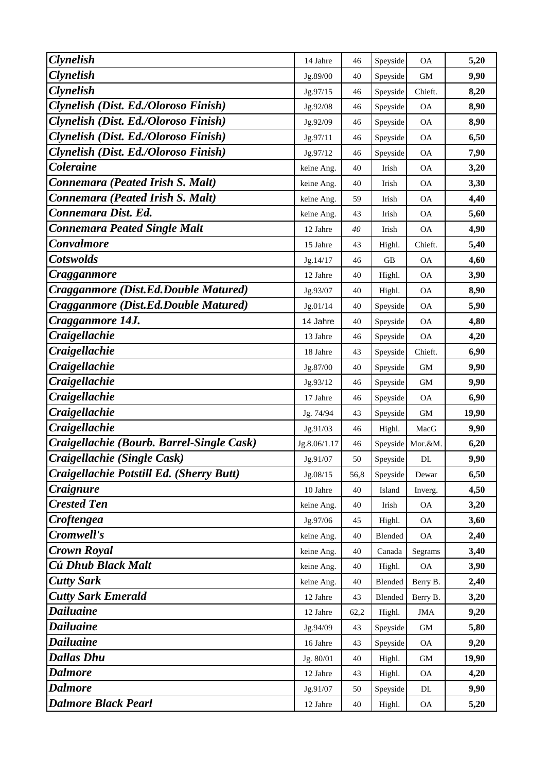| <b>Clynelish</b>                          | 14 Jahre     | 46   | Speyside  | <b>OA</b>  | 5,20  |
|-------------------------------------------|--------------|------|-----------|------------|-------|
| <b>Clynelish</b>                          | Jg.89/00     | 40   | Speyside  | <b>GM</b>  | 9,90  |
| <b>Clynelish</b>                          | Jg.97/15     | 46   | Speyside  | Chieft.    | 8,20  |
| Clynelish (Dist. Ed./Oloroso Finish)      | Jg.92/08     | 46   | Speyside  | <b>OA</b>  | 8,90  |
| Clynelish (Dist. Ed./Oloroso Finish)      | Jg.92/09     | 46   | Speyside  | ОA         | 8,90  |
| Clynelish (Dist. Ed./Oloroso Finish)      | Jg.97/11     | 46   | Speyside  | <b>OA</b>  | 6,50  |
| Clynelish (Dist. Ed./Oloroso Finish)      | Jg.97/12     | 46   | Speyside  | <b>OA</b>  | 7,90  |
| Coleraine                                 | keine Ang.   | 40   | Irish     | <b>OA</b>  | 3,20  |
| Connemara (Peated Irish S. Malt)          | keine Ang.   | 40   | Irish     | <b>OA</b>  | 3,30  |
| Connemara (Peated Irish S. Malt)          | keine Ang.   | 59   | Irish     | <b>OA</b>  | 4,40  |
| Connemara Dist. Ed.                       | keine Ang.   | 43   | Irish     | <b>OA</b>  | 5,60  |
| Connemara Peated Single Malt              | 12 Jahre     | 40   | Irish     | <b>OA</b>  | 4,90  |
| Convalmore                                | 15 Jahre     | 43   | Highl.    | Chieft.    | 5,40  |
| <b>Cotswolds</b>                          | Jg.14/17     | 46   | <b>GB</b> | <b>OA</b>  | 4,60  |
| Cragganmore                               | 12 Jahre     | 40   | Highl.    | <b>OA</b>  | 3,90  |
| Cragganmore (Dist.Ed.Double Matured)      | Jg.93/07     | 40   | Highl.    | <b>OA</b>  | 8,90  |
| Cragganmore (Dist.Ed.Double Matured)      | Jg.01/14     | 40   | Speyside  | ОA         | 5,90  |
| Cragganmore 14J.                          | 14 Jahre     | 40   | Speyside  | <b>OA</b>  | 4,80  |
| Craigellachie                             | 13 Jahre     | 46   | Speyside  | <b>OA</b>  | 4,20  |
| <b>Craigellachie</b>                      | 18 Jahre     | 43   | Speyside  | Chieft.    | 6,90  |
| <b>Craigellachie</b>                      | Jg.87/00     | 40   | Speyside  | GM         | 9,90  |
| <b>Craigellachie</b>                      | Jg.93/12     | 46   | Speyside  | <b>GM</b>  | 9,90  |
| <b>Craigellachie</b>                      | 17 Jahre     | 46   | Speyside  | ОA         | 6,90  |
| Craigellachie                             | Jg. 74/94    | 43   | Speyside  | GM         | 19,90 |
| <b>Craigellachie</b>                      | Jg.91/03     | 46   | Highl.    | MacG       | 9,90  |
| Craigellachie (Bourb. Barrel-Single Cask) | Jg.8.06/1.17 | 46   | Speyside  | Mor.&M.    | 6,20  |
| Craigellachie (Single Cask)               | Jg.91/07     | 50   | Speyside  | DL         | 9,90  |
| Craigellachie Potstill Ed. (Sherry Butt)  | Jg.08/15     | 56,8 | Speyside  | Dewar      | 6,50  |
| <b>Craignure</b>                          | 10 Jahre     | 40   | Island    | Inverg.    | 4,50  |
| <b>Crested Ten</b>                        | keine Ang.   | 40   | Irish     | <b>OA</b>  | 3,20  |
| Croftengea                                | Jg.97/06     | 45   | Highl.    | <b>OA</b>  | 3,60  |
| Cromwell's                                | keine Ang.   | 40   | Blended   | <b>OA</b>  | 2,40  |
| <b>Crown Royal</b>                        | keine Ang.   | 40   | Canada    | Segrams    | 3,40  |
| Cú Dhub Black Malt                        | keine Ang.   | 40   | Highl.    | <b>OA</b>  | 3,90  |
| <b>Cutty Sark</b>                         | keine Ang.   | 40   | Blended   | Berry B.   | 2,40  |
| <b>Cutty Sark Emerald</b>                 | 12 Jahre     | 43   | Blended   | Berry B.   | 3,20  |
| <b>Dailuaine</b>                          | 12 Jahre     | 62,2 | Highl.    | <b>JMA</b> | 9,20  |
| <b>Dailuaine</b>                          | Jg.94/09     | 43   | Speyside  | GM         | 5,80  |
| <b>Dailuaine</b>                          | 16 Jahre     | 43   | Speyside  | <b>OA</b>  | 9,20  |
| <b>Dallas Dhu</b>                         | Jg. 80/01    | 40   | Highl.    | GM         | 19,90 |
| <b>Dalmore</b>                            | 12 Jahre     | 43   | Highl.    | <b>OA</b>  | 4,20  |
| <b>Dalmore</b>                            | Jg.91/07     | 50   | Speyside  | DL         | 9,90  |
| <b>Dalmore Black Pearl</b>                | 12 Jahre     | 40   | Highl.    | <b>OA</b>  | 5,20  |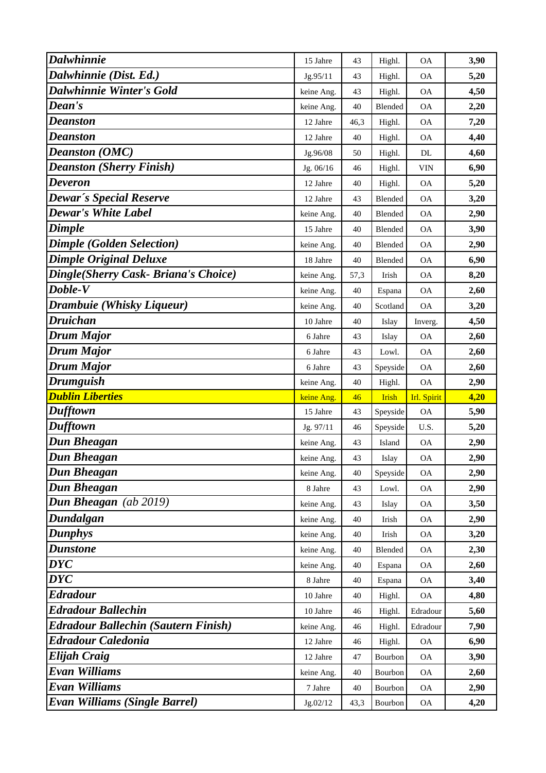| <b>Dalwhinnie</b>                                     | 15 Jahre   | 43   | Highl.             | <b>OA</b>   | 3,90 |
|-------------------------------------------------------|------------|------|--------------------|-------------|------|
| Dalwhinnie (Dist. Ed.)                                | Jg.95/11   | 43   | Highl.             | <b>OA</b>   | 5,20 |
| <b>Dalwhinnie Winter's Gold</b>                       | keine Ang. | 43   | Highl.             | <b>OA</b>   | 4,50 |
| Dean's                                                | keine Ang. | 40   | Blended            | <b>OA</b>   | 2,20 |
| Deanston                                              | 12 Jahre   | 46,3 | Highl.             | <b>OA</b>   | 7,20 |
| <b>Deanston</b>                                       | 12 Jahre   | 40   | Highl.             | <b>OA</b>   | 4,40 |
| <b>Deanston (OMC)</b>                                 | Jg.96/08   | 50   | Highl.             | DL          | 4,60 |
| <b>Deanston (Sherry Finish)</b>                       | Jg. 06/16  | 46   | Highl.             | <b>VIN</b>  | 6,90 |
| Deveron                                               | 12 Jahre   | 40   | Highl.             | <b>OA</b>   | 5,20 |
| <b>Dewar's Special Reserve</b>                        | 12 Jahre   | 43   | Blended            | <b>OA</b>   | 3,20 |
| <b>Dewar's White Label</b>                            | keine Ang. | 40   | Blended            | $\rm OA$    | 2,90 |
| Dimple                                                | 15 Jahre   | 40   | Blended            | <b>OA</b>   | 3,90 |
| <b>Dimple (Golden Selection)</b>                      | keine Ang. | 40   | Blended            | <b>OA</b>   | 2,90 |
| <b>Dimple Original Deluxe</b>                         | 18 Jahre   | 40   | Blended            | <b>OA</b>   | 6,90 |
| Dingle(Sherry Cask- Briana's Choice)                  | keine Ang. | 57,3 | Irish              | <b>OA</b>   | 8,20 |
| Doble-V                                               | keine Ang. | 40   | Espana             | <b>OA</b>   | 2,60 |
| Drambuie (Whisky Liqueur)                             | keine Ang. | 40   | Scotland           | <b>OA</b>   | 3,20 |
| <b>Druichan</b>                                       | 10 Jahre   | 40   | Islay              | Inverg.     | 4,50 |
| Drum Major                                            | 6 Jahre    | 43   | Islay              | <b>OA</b>   | 2,60 |
| Drum Major                                            | 6 Jahre    | 43   | Lowl.              | <b>OA</b>   | 2,60 |
| Drum Major                                            | 6 Jahre    | 43   | Speyside           | <b>OA</b>   | 2,60 |
|                                                       |            |      |                    |             |      |
| <b>Drumguish</b>                                      | keine Ang. | 40   | Highl.             | <b>OA</b>   | 2,90 |
| <b>Dublin Liberties</b>                               | keine Ang. | 46   | <b>Irish</b>       | Irl. Spirit | 4,20 |
| Dufftown                                              | 15 Jahre   | 43   | Speyside           | <b>OA</b>   | 5,90 |
| Dufftown                                              | Jg. 97/11  | 46   | Speyside           | U.S.        | 5,20 |
| <b>Dun Bheagan</b>                                    | keine Ang. | 43   | Island             | <b>OA</b>   | 2,90 |
| <b>Dun Bheagan</b>                                    | keine Ang. | 43   | Islay              | <b>OA</b>   | 2,90 |
| <b>Dun Bheagan</b>                                    | keine Ang. | 40   | Speyside           | <b>OA</b>   | 2,90 |
| Dun Bheagan                                           | 8 Jahre    | 43   | Lowl.              | <b>OA</b>   | 2,90 |
| Dun Bheagan (ab 2019)                                 | keine Ang. | 43   | Islay              | <b>OA</b>   | 3,50 |
| Dundalgan                                             | keine Ang. | 40   | Irish              | <b>OA</b>   | 2,90 |
| <b>Dunphys</b>                                        | keine Ang. | 40   | Irish              | <b>OA</b>   | 3,20 |
| <b>Dunstone</b>                                       | keine Ang. | 40   | Blended            | <b>OA</b>   | 2,30 |
| <b>DYC</b>                                            | keine Ang. | 40   | Espana             | <b>OA</b>   | 2,60 |
| $\overline{D}Y\overline{C}$                           | 8 Jahre    | 40   | Espana             | <b>OA</b>   | 3,40 |
| <b>Edradour</b>                                       | 10 Jahre   | 40   | Highl.             | <b>OA</b>   | 4,80 |
| <b>Edradour Ballechin</b>                             | 10 Jahre   | 46   | Highl.             | Edradour    | 5,60 |
| <b>Edradour Ballechin (Sautern Finish)</b>            | keine Ang. | 46   | Highl.             | Edradour    | 7,90 |
| <b>Edradour Caledonia</b>                             | 12 Jahre   | 46   | Highl.             | <b>OA</b>   | 6,90 |
| <b>Elijah Craig</b>                                   | 12 Jahre   | 47   | Bourbon            | <b>OA</b>   | 3,90 |
| <b>Evan Williams</b>                                  | keine Ang. | 40   | Bourbon            | <b>OA</b>   | 2,60 |
| Evan Williams<br><b>Evan Williams (Single Barrel)</b> | 7 Jahre    | 40   | Bourbon<br>Bourbon | <b>OA</b>   | 2,90 |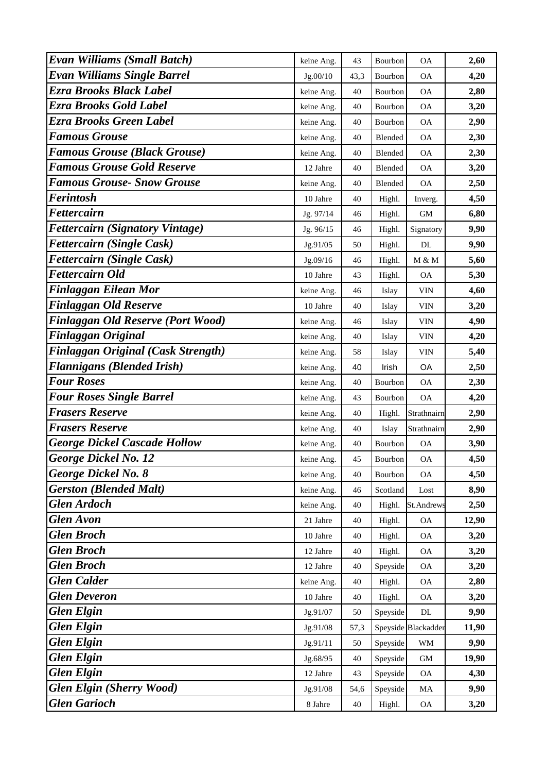| <b>Evan Williams (Small Batch)</b>        | keine Ang. | 43   | Bourbon  | <b>OA</b>           | 2,60  |
|-------------------------------------------|------------|------|----------|---------------------|-------|
| <b>Evan Williams Single Barrel</b>        | Jg.00/10   | 43,3 | Bourbon  | <b>OA</b>           | 4,20  |
| <b>Ezra Brooks Black Label</b>            | keine Ang. | 40   | Bourbon  | <b>OA</b>           | 2,80  |
| Ezra Brooks Gold Label                    | keine Ang. | 40   | Bourbon  | <b>OA</b>           | 3,20  |
| Ezra Brooks Green Label                   | keine Ang. | 40   | Bourbon  | <b>OA</b>           | 2,90  |
| <b>Famous Grouse</b>                      | keine Ang. | 40   | Blended  | <b>OA</b>           | 2,30  |
| <b>Famous Grouse (Black Grouse)</b>       | keine Ang. | 40   | Blended  | <b>OA</b>           | 2,30  |
| <b>Famous Grouse Gold Reserve</b>         | 12 Jahre   | 40   | Blended  | <b>OA</b>           | 3,20  |
| <b>Famous Grouse- Snow Grouse</b>         | keine Ang. | 40   | Blended  | <b>OA</b>           | 2,50  |
| <b>Ferintosh</b>                          | 10 Jahre   | 40   | Highl.   | Inverg.             | 4,50  |
| <b>Fettercairn</b>                        | Jg. 97/14  | 46   | Highl.   | <b>GM</b>           | 6,80  |
| <b>Fettercairn (Signatory Vintage)</b>    | Jg. 96/15  | 46   | Highl.   | Signatory           | 9,90  |
| <b>Fettercairn (Single Cask)</b>          | Jg.91/05   | 50   | Highl.   | DL                  | 9,90  |
| <b>Fettercairn (Single Cask)</b>          | Jg.09/16   | 46   | Highl.   | M & M               | 5,60  |
| <b>Fettercairn Old</b>                    | 10 Jahre   | 43   | Highl.   | $\mathsf{OA}$       | 5,30  |
| <b>Finlaggan Eilean Mor</b>               | keine Ang. | 46   | Islay    | <b>VIN</b>          | 4,60  |
| <b>Finlaggan Old Reserve</b>              | 10 Jahre   | 40   | Islay    | <b>VIN</b>          | 3,20  |
| <b>Finlaggan Old Reserve (Port Wood)</b>  | keine Ang. | 46   | Islay    | <b>VIN</b>          | 4,90  |
| <b>Finlaggan Original</b>                 | keine Ang. | 40   | Islay    | <b>VIN</b>          | 4,20  |
| <b>Finlaggan Original (Cask Strength)</b> | keine Ang. | 58   | Islay    | <b>VIN</b>          | 5,40  |
| <b>Flannigans (Blended Irish)</b>         | keine Ang. | 40   | Irish    | OA                  | 2,50  |
| <b>Four Roses</b>                         | keine Ang. | 40   | Bourbon  | <b>OA</b>           | 2,30  |
| <b>Four Roses Single Barrel</b>           | keine Ang. | 43   | Bourbon  | <b>OA</b>           | 4,20  |
| <b>Frasers Reserve</b>                    | keine Ang. | 40   | Highl.   | Strathnairn         | 2,90  |
| <b>Frasers Reserve</b>                    | keine Ang. | 40   | Islay    | Strathnairn         | 2,90  |
| <b>George Dickel Cascade Hollow</b>       | keine Ang. | 40   | Bourbon  | <b>OA</b>           | 3,90  |
| George Dickel No. 12                      | keine Ang. | 45   | Bourbon  | <b>OA</b>           | 4,50  |
| <b>George Dickel No. 8</b>                | keine Ang. | 40   | Bourbon  | <b>OA</b>           | 4,50  |
| <b>Gerston (Blended Malt)</b>             | keine Ang. | 46   | Scotland | Lost                | 8,90  |
| <b>Glen Ardoch</b>                        | keine Ang. | 40   | Highl.   | <b>St.Andrews</b>   | 2,50  |
| <b>Glen Avon</b>                          | 21 Jahre   | 40   | Highl.   | <b>OA</b>           | 12,90 |
| <b>Glen Broch</b>                         | 10 Jahre   | 40   | Highl.   | <b>OA</b>           | 3,20  |
| <b>Glen Broch</b>                         | 12 Jahre   | 40   | Highl.   | <b>OA</b>           | 3,20  |
| <b>Glen Broch</b>                         | 12 Jahre   | 40   | Speyside | <b>OA</b>           | 3,20  |
| <b>Glen Calder</b>                        | keine Ang. | 40   | Highl.   | <b>OA</b>           | 2,80  |
| <b>Glen Deveron</b>                       | 10 Jahre   | 40   | Highl.   | <b>OA</b>           | 3,20  |
| <b>Glen Elgin</b>                         | Jg.91/07   | 50   | Speyside | DL                  | 9,90  |
| <b>Glen Elgin</b>                         | Jg.91/08   | 57,3 |          | Speyside Blackadder | 11,90 |
| <b>Glen Elgin</b>                         | Jg.91/11   | 50   | Speyside | <b>WM</b>           | 9,90  |
| <b>Glen Elgin</b>                         | Jg.68/95   | 40   | Speyside | GM                  | 19,90 |
| <b>Glen Elgin</b>                         | 12 Jahre   | 43   | Speyside | <b>OA</b>           | 4,30  |
| <b>Glen Elgin (Sherry Wood)</b>           | Jg.91/08   | 54,6 | Speyside | MA                  | 9,90  |
| <b>Glen Garioch</b>                       | 8 Jahre    | 40   | Highl.   | <b>OA</b>           | 3,20  |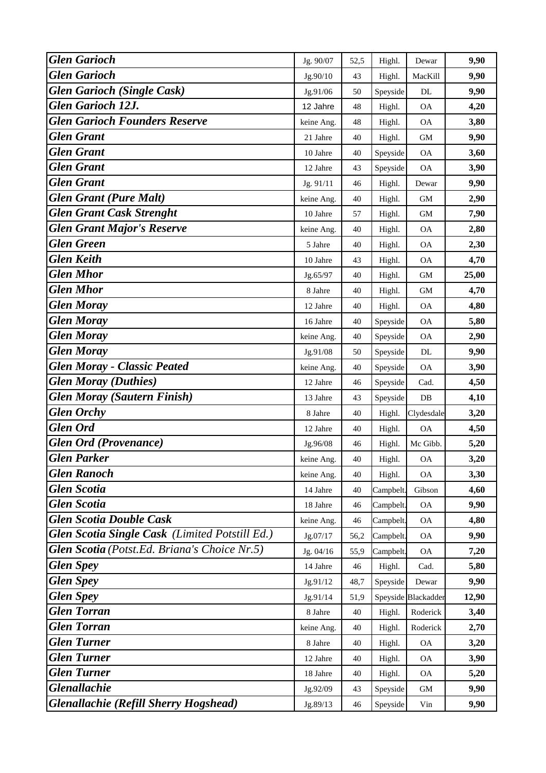| <b>Glen Garioch</b>                            | Jg. 90/07  | 52,5 | Highl.    | Dewar               | 9,90  |
|------------------------------------------------|------------|------|-----------|---------------------|-------|
| <b>Glen Garioch</b>                            | Jg.90/10   | 43   | Highl.    | MacKill             | 9,90  |
| <b>Glen Garioch (Single Cask)</b>              | Jg.91/06   | 50   | Speyside  | DL                  | 9,90  |
| <b>Glen Garioch 12J.</b>                       | 12 Jahre   | 48   | Highl.    | <b>OA</b>           | 4,20  |
| <b>Glen Garioch Founders Reserve</b>           | keine Ang. | 48   | Highl.    | <b>OA</b>           | 3,80  |
| <b>Glen Grant</b>                              | 21 Jahre   | 40   | Highl.    | GM                  | 9,90  |
| <b>Glen Grant</b>                              | 10 Jahre   | 40   | Speyside  | $\mathsf{OA}$       | 3,60  |
| <b>Glen Grant</b>                              | 12 Jahre   | 43   | Speyside  | <b>OA</b>           | 3,90  |
| <b>Glen Grant</b>                              | Jg. 91/11  | 46   | Highl.    | Dewar               | 9,90  |
| <b>Glen Grant (Pure Malt)</b>                  | keine Ang. | 40   | Highl.    | <b>GM</b>           | 2,90  |
| <b>Glen Grant Cask Strenght</b>                | 10 Jahre   | 57   | Highl.    | GM                  | 7,90  |
| <b>Glen Grant Major's Reserve</b>              | keine Ang. | 40   | Highl.    | <b>OA</b>           | 2,80  |
| <b>Glen Green</b>                              | 5 Jahre    | 40   | Highl.    | <b>OA</b>           | 2,30  |
| <b>Glen Keith</b>                              | 10 Jahre   | 43   | Highl.    | <b>OA</b>           | 4,70  |
| <b>Glen Mhor</b>                               | Jg.65/97   | 40   | Highl.    | GM                  | 25,00 |
| <b>Glen Mhor</b>                               | 8 Jahre    | 40   | Highl.    | GM                  | 4,70  |
| <b>Glen Moray</b>                              | 12 Jahre   | 40   | Highl.    | <b>OA</b>           | 4,80  |
| <b>Glen Moray</b>                              | 16 Jahre   | 40   | Speyside  | <b>OA</b>           | 5,80  |
| <b>Glen Moray</b>                              | keine Ang. | 40   | Speyside  | <b>OA</b>           | 2,90  |
| <b>Glen Moray</b>                              | Jg.91/08   | 50   | Speyside  | DL                  | 9,90  |
| <b>Glen Moray - Classic Peated</b>             | keine Ang. | 40   | Speyside  | <b>OA</b>           | 3,90  |
| <b>Glen Moray (Duthies)</b>                    | 12 Jahre   | 46   | Speyside  | Cad.                | 4,50  |
| <b>Glen Moray (Sautern Finish)</b>             | 13 Jahre   | 43   | Speyside  | DB                  | 4,10  |
| <b>Glen Orchy</b>                              | 8 Jahre    | 40   | Highl.    | Clydesdale          | 3,20  |
| <b>Glen Ord</b>                                | 12 Jahre   | 40   | Highl.    | <b>OA</b>           | 4,50  |
| <b>Glen Ord (Provenance)</b>                   | Jg.96/08   | 46   | Highl.    | Mc Gibb.            | 5,20  |
| <b>Glen Parker</b>                             | keine Ang. | 40   | Highl.    | <b>OA</b>           | 3,20  |
| <b>Glen Ranoch</b>                             | keine Ang. | 40   | Highl.    | <b>OA</b>           | 3,30  |
| <b>Glen Scotia</b>                             | 14 Jahre   | 40   | Campbelt. | Gibson              | 4,60  |
| <b>Glen Scotia</b>                             | 18 Jahre   | 46   | Campbelt. | <b>OA</b>           | 9,90  |
| <b>Glen Scotia Double Cask</b>                 | keine Ang. | 46   | Campbelt. | <b>OA</b>           | 4,80  |
| Glen Scotia Single Cask (Limited Potstill Ed.) | Jg.07/17   | 56,2 | Campbelt. | <b>OA</b>           | 9,90  |
| Glen Scotia (Potst.Ed. Briana's Choice Nr.5)   | Jg. 04/16  | 55,9 | Campbelt. | <b>OA</b>           | 7,20  |
| <b>Glen Spey</b>                               | 14 Jahre   | 46   | Highl.    | Cad.                | 5,80  |
| <b>Glen Spey</b>                               | Jg.91/12   | 48,7 | Speyside  | Dewar               | 9,90  |
| <b>Glen Spey</b>                               | Jg.91/14   | 51,9 |           | Speyside Blackadder | 12,90 |
| <b>Glen Torran</b>                             | 8 Jahre    | 40   | Highl.    | Roderick            | 3,40  |
| <b>Glen Torran</b>                             | keine Ang. | 40   | Highl.    | Roderick            | 2,70  |
| <b>Glen Turner</b>                             | 8 Jahre    | 40   | Highl.    | $\mathsf{OA}$       | 3,20  |
| <b>Glen Turner</b>                             | 12 Jahre   | 40   | Highl.    | <b>OA</b>           | 3,90  |
| <b>Glen Turner</b>                             | 18 Jahre   | 40   | Highl.    | <b>OA</b>           | 5,20  |
| <b>Glenallachie</b>                            | Jg.92/09   | 43   | Speyside  | GM                  | 9,90  |
| <b>Glenallachie (Refill Sherry Hogshead)</b>   | Jg.89/13   | 46   | Speyside  | Vin                 | 9,90  |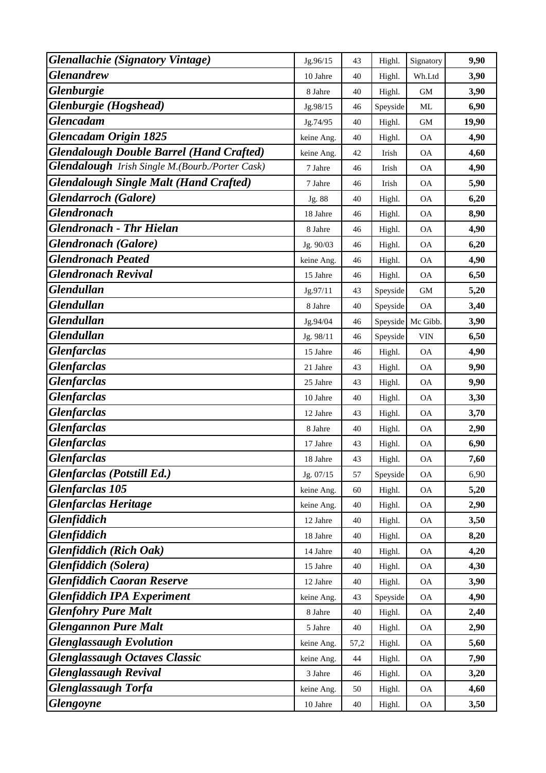| <b>Glenallachie</b> (Signatory Vintage)         | Jg.96/15   | 43     | Highl.   | Signatory | 9,90  |
|-------------------------------------------------|------------|--------|----------|-----------|-------|
| <b>Glenandrew</b>                               | 10 Jahre   | 40     | Highl.   | Wh.Ltd    | 3,90  |
| <b>Glenburgie</b>                               | 8 Jahre    | 40     | Highl.   | GM        | 3,90  |
| Glenburgie (Hogshead)                           | Jg.98/15   | 46     | Speyside | ML        | 6,90  |
| <b>Glencadam</b>                                | Jg.74/95   | 40     | Highl.   | <b>GM</b> | 19,90 |
| <b>Glencadam Origin 1825</b>                    | keine Ang. | 40     | Highl.   | <b>OA</b> | 4,90  |
| <b>Glendalough Double Barrel (Hand Crafted)</b> | keine Ang. | 42     | Irish    | <b>OA</b> | 4,60  |
| Glendalough Irish Single M.(Bourb./Porter Cask) | 7 Jahre    | 46     | Irish    | <b>OA</b> | 4,90  |
| <b>Glendalough Single Malt (Hand Crafted)</b>   | 7 Jahre    | 46     | Irish    | <b>OA</b> | 5,90  |
| <b>Glendarroch</b> (Galore)                     | Jg. 88     | 40     | Highl.   | <b>OA</b> | 6,20  |
| <b>Glendronach</b>                              | 18 Jahre   | 46     | Highl.   | $\rm OA$  | 8,90  |
| <b>Glendronach - Thr Hielan</b>                 | 8 Jahre    | 46     | Highl.   | <b>OA</b> | 4,90  |
| <b>Glendronach</b> (Galore)                     | Jg. 90/03  | 46     | Highl.   | <b>OA</b> | 6,20  |
| <b>Glendronach Peated</b>                       | keine Ang. | 46     | Highl.   | <b>OA</b> | 4,90  |
| <b>Glendronach Revival</b>                      | 15 Jahre   | 46     | Highl.   | <b>OA</b> | 6,50  |
| <b>Glendullan</b>                               | Jg.97/11   | 43     | Speyside | GM        | 5,20  |
| <b>Glendullan</b>                               | 8 Jahre    | 40     | Speyside | <b>OA</b> | 3,40  |
| <b>Glendullan</b>                               | Jg.94/04   | 46     | Speyside | Mc Gibb.  | 3,90  |
| <b>Glendullan</b>                               | Jg. 98/11  | 46     | Speyside | VIN       | 6,50  |
| <b>Glenfarclas</b>                              | 15 Jahre   | 46     | Highl.   | <b>OA</b> | 4,90  |
| <b>Glenfarclas</b>                              | 21 Jahre   | 43     | Highl.   | <b>OA</b> | 9,90  |
| <b>Glenfarclas</b>                              | 25 Jahre   | 43     | Highl.   | <b>OA</b> | 9,90  |
| <b>Glenfarclas</b>                              | 10 Jahre   | 40     | Highl.   | ОA        | 3,30  |
| <b>Glenfarclas</b>                              | 12 Jahre   | 43     | Highl.   | <b>OA</b> | 3,70  |
| <b>Glenfarclas</b>                              | 8 Jahre    | 40     | Highl.   | <b>OA</b> | 2,90  |
| <b>Glenfarclas</b>                              | 17 Jahre   | 43     | Highl.   | <b>OA</b> | 6,90  |
| <b>Glenfarclas</b>                              | 18 Jahre   | 43     | Highl.   | <b>OA</b> | 7,60  |
| <b>Glenfarclas</b> (Potstill Ed.)               | Jg. 07/15  | 57     | Speyside | <b>OA</b> | 6,90  |
| <b>Glenfarclas 105</b>                          | keine Ang. | 60     | Highl.   | OA        | 5,20  |
| <b>Glenfarclas Heritage</b>                     | keine Ang. | 40     | Highl.   | <b>OA</b> | 2,90  |
| <b>Glenfiddich</b>                              | 12 Jahre   | 40     | Highl.   | <b>OA</b> | 3,50  |
| <b>Glenfiddich</b>                              | 18 Jahre   | 40     | Highl.   | <b>OA</b> | 8,20  |
| <b>Glenfiddich (Rich Oak)</b>                   | 14 Jahre   | 40     | Highl.   | <b>OA</b> | 4,20  |
| <b>Glenfiddich</b> (Solera)                     | 15 Jahre   | 40     | Highl.   | <b>OA</b> | 4,30  |
| <b>Glenfiddich Caoran Reserve</b>               | 12 Jahre   | 40     | Highl.   | <b>OA</b> | 3,90  |
| <b>Glenfiddich IPA Experiment</b>               | keine Ang. | 43     | Speyside | <b>OA</b> | 4,90  |
| <b>Glenfohry Pure Malt</b>                      | 8 Jahre    | 40     | Highl.   | <b>OA</b> | 2,40  |
| <b>Glengannon Pure Malt</b>                     | 5 Jahre    | 40     | Highl.   | OA        | 2,90  |
| <b>Glenglassaugh Evolution</b>                  | keine Ang. | 57,2   | Highl.   | <b>OA</b> | 5,60  |
| <b>Glenglassaugh Octaves Classic</b>            | keine Ang. | 44     | Highl.   | <b>OA</b> | 7,90  |
| <b>Glenglassaugh Revival</b>                    | 3 Jahre    | 46     | Highl.   | <b>OA</b> | 3,20  |
| <b>Glenglassaugh Torfa</b>                      | keine Ang. | 50     | Highl.   | <b>OA</b> | 4,60  |
| <b>Glengoyne</b>                                | 10 Jahre   | $40\,$ | Highl.   | <b>OA</b> | 3,50  |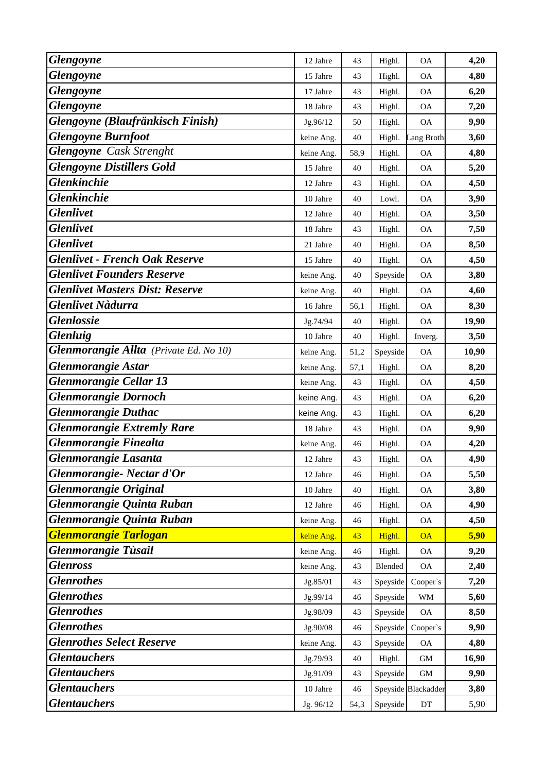| <b>Glengoyne</b>                       | 12 Jahre   | 43   | Highl.   | <b>OA</b>                  | 4,20  |
|----------------------------------------|------------|------|----------|----------------------------|-------|
| <b>Glengoyne</b>                       | 15 Jahre   | 43   | Highl.   | <b>OA</b>                  | 4,80  |
| <b>Glengoyne</b>                       | 17 Jahre   | 43   | Highl.   | <b>OA</b>                  | 6,20  |
| <b>Glengoyne</b>                       | 18 Jahre   | 43   | Highl.   | <b>OA</b>                  | 7,20  |
| Glengoyne (Blaufränkisch Finish)       | Jg.96/12   | 50   | Highl.   | <b>OA</b>                  | 9,90  |
| <b>Glengoyne Burnfoot</b>              | keine Ang. | 40   | Highl.   | Lang Broth                 | 3,60  |
| <b>Glengoyne</b> Cask Strenght         | keine Ang. | 58,9 | Highl.   | <b>OA</b>                  | 4,80  |
| <b>Glengoyne Distillers Gold</b>       | 15 Jahre   | 40   | Highl.   | <b>OA</b>                  | 5,20  |
| <b>Glenkinchie</b>                     | 12 Jahre   | 43   | Highl.   | <b>OA</b>                  | 4,50  |
| <b>Glenkinchie</b>                     | 10 Jahre   | 40   | Lowl.    | <b>OA</b>                  | 3,90  |
| <b>Glenlivet</b>                       | 12 Jahre   | 40   | Highl.   | $\rm OA$                   | 3,50  |
| <b>Glenlivet</b>                       | 18 Jahre   | 43   | Highl.   | <b>OA</b>                  | 7,50  |
| <b>Glenlivet</b>                       | 21 Jahre   | 40   | Highl.   | <b>OA</b>                  | 8,50  |
| <b>Glenlivet - French Oak Reserve</b>  | 15 Jahre   | 40   | Highl.   | <b>OA</b>                  | 4,50  |
| <b>Glenlivet Founders Reserve</b>      | keine Ang. | 40   | Speyside | <b>OA</b>                  | 3,80  |
| <b>Glenlivet Masters Dist: Reserve</b> | keine Ang. | 40   | Highl.   | $\rm OA$                   | 4,60  |
| <b>Glenlivet Nàdurra</b>               | 16 Jahre   | 56,1 | Highl.   | <b>OA</b>                  | 8,30  |
| <b>Glenlossie</b>                      | Jg.74/94   | 40   | Highl.   | <b>OA</b>                  | 19,90 |
| <b>Glenluig</b>                        | 10 Jahre   | 40   | Highl.   | Inverg.                    | 3,50  |
| Glenmorangie Allta (Private Ed. No 10) | keine Ang. | 51,2 | Speyside | <b>OA</b>                  | 10,90 |
| <b>Glenmorangie Astar</b>              | keine Ang. | 57,1 | Highl.   | <b>OA</b>                  | 8,20  |
| <b>Glenmorangie Cellar 13</b>          | keine Ang. | 43   | Highl.   | <b>OA</b>                  | 4,50  |
| <b>Glenmorangie Dornoch</b>            | keine Ang. | 43   | Highl.   | <b>OA</b>                  | 6,20  |
| <b>Glenmorangie Duthac</b>             | keine Ang. | 43   | Highl.   | <b>OA</b>                  | 6,20  |
| <b>Glenmorangie Extremly Rare</b>      | 18 Jahre   | 43   | Highl.   | <b>OA</b>                  | 9,90  |
| <b>Glenmorangie Finealta</b>           | keine Ang. | 46   | Highl.   | <b>OA</b>                  | 4,20  |
| Glenmorangie Lasanta                   | 12 Jahre   | 43   | Highl.   | <b>OA</b>                  | 4,90  |
| Glenmorangie- Nectar d'Or              | 12 Jahre   | 46   | Highl.   | <b>OA</b>                  | 5,50  |
| <b>Glenmorangie Original</b>           | 10 Jahre   | 40   | Highl.   | OA                         | 3,80  |
| Glenmorangie Quinta Ruban              | 12 Jahre   | 46   | Highl.   | <b>OA</b>                  | 4,90  |
| Glenmorangie Quinta Ruban              | keine Ang. | 46   | Highl.   | <b>OA</b>                  | 4,50  |
| <b>Glenmorangie Tarlogan</b>           | keine Ang. | 43   | Highl.   | <b>OA</b>                  | 5,90  |
| <b>Glenmorangie Tùsail</b>             | keine Ang. | 46   | Highl.   | <b>OA</b>                  | 9,20  |
| <b>Glenross</b>                        | keine Ang. | 43   | Blended  | <b>OA</b>                  | 2,40  |
| <b>Glenrothes</b>                      | Jg.85/01   | 43   | Speyside | Cooper's                   | 7,20  |
| <b>Glenrothes</b>                      | Jg.99/14   | 46   | Speyside | WM                         | 5,60  |
| <b>Glenrothes</b>                      | Jg.98/09   | 43   | Speyside | <b>OA</b>                  | 8,50  |
| <b>Glenrothes</b>                      | Jg.90/08   | 46   | Speyside | Cooper's                   | 9,90  |
| <b>Glenrothes Select Reserve</b>       | keine Ang. | 43   | Speyside | <b>OA</b>                  | 4,80  |
| <b>Glentauchers</b>                    | Jg.79/93   | 40   | Highl.   | <b>GM</b>                  | 16,90 |
| <b>Glentauchers</b>                    | Jg.91/09   | 43   | Speyside | GM                         | 9,90  |
| <b>Glentauchers</b>                    | 10 Jahre   | 46   |          | Speyside Blackadder        | 3,80  |
| <b>Glentauchers</b>                    | Jg. 96/12  | 54,3 | Speyside | $\mathop{\rm DT}\nolimits$ | 5,90  |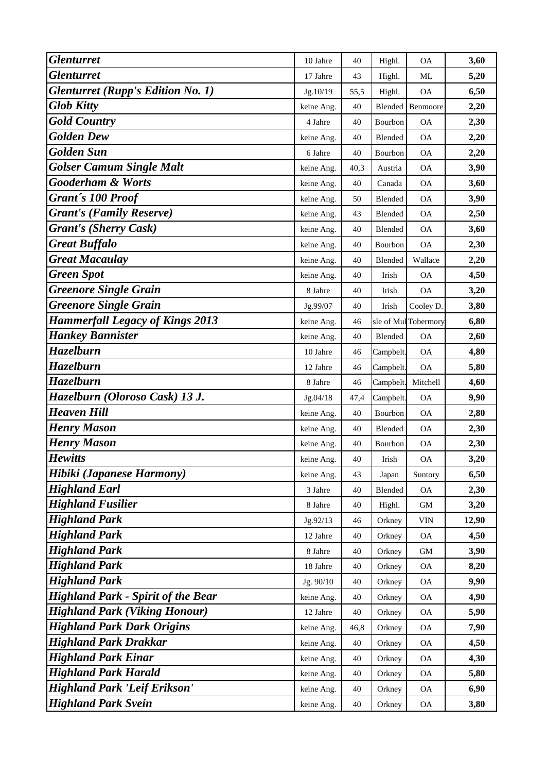| <b>Glenturret</b>                         | 10 Jahre   | 40   | Highl.    | <b>OA</b>                | 3,60  |
|-------------------------------------------|------------|------|-----------|--------------------------|-------|
| <b>Glenturret</b>                         | 17 Jahre   | 43   | Highl.    | ML                       | 5,20  |
| <b>Glenturret (Rupp's Edition No. 1)</b>  | Jg.10/19   | 55,5 | Highl.    | <b>OA</b>                | 6,50  |
| <b>Glob Kitty</b>                         | keine Ang. | 40   | Blended   | Benmoore                 | 2,20  |
| <b>Gold Country</b>                       | 4 Jahre    | 40   | Bourbon   | <b>OA</b>                | 2,30  |
| <b>Golden Dew</b>                         | keine Ang. | 40   | Blended   | <b>OA</b>                | 2,20  |
| <b>Golden Sun</b>                         | 6 Jahre    | 40   | Bourbon   | <b>OA</b>                | 2,20  |
| <b>Golser Camum Single Malt</b>           | keine Ang. | 40,3 | Austria   | <b>OA</b>                | 3,90  |
| <b>Gooderham &amp; Worts</b>              | keine Ang. | 40   | Canada    | <b>OA</b>                | 3,60  |
| Grant's 100 Proof                         | keine Ang. | 50   | Blended   | <b>OA</b>                | 3,90  |
| <b>Grant's (Family Reserve)</b>           | keine Ang. | 43   | Blended   | $\mathcal{O}\mathcal{A}$ | 2,50  |
| <b>Grant's (Sherry Cask)</b>              | keine Ang. | 40   | Blended   | <b>OA</b>                | 3,60  |
| <b>Great Buffalo</b>                      | keine Ang. | 40   | Bourbon   | <b>OA</b>                | 2,30  |
| <b>Great Macaulay</b>                     | keine Ang. | 40   | Blended   | Wallace                  | 2,20  |
| <b>Green Spot</b>                         | keine Ang. | 40   | Irish     | <b>OA</b>                | 4,50  |
| <b>Greenore Single Grain</b>              | 8 Jahre    | 40   | Irish     | <b>OA</b>                | 3,20  |
| <b>Greenore Single Grain</b>              | Jg.99/07   | 40   | Irish     | Cooley D.                | 3,80  |
| <b>Hammerfall Legacy of Kings 2013</b>    | keine Ang. | 46   | sle of Mu | Tobermory                | 6,80  |
| <b>Hankey Bannister</b>                   | keine Ang. | 40   | Blended   | <b>OA</b>                | 2,60  |
| <b>Hazelburn</b>                          | 10 Jahre   | 46   | Campbelt. | <b>OA</b>                | 4,80  |
| <b>Hazelburn</b>                          | 12 Jahre   | 46   | Campbelt. | <b>OA</b>                | 5,80  |
| <b>Hazelburn</b>                          | 8 Jahre    | 46   | Campbelt. | Mitchell                 | 4,60  |
| Hazelburn (Oloroso Cask) 13 J.            | Jg.04/18   | 47,4 | Campbelt. | <b>OA</b>                | 9,90  |
| <b>Heaven Hill</b>                        | keine Ang. | 40   | Bourbon   | <b>OA</b>                | 2,80  |
| <b>Henry Mason</b>                        | keine Ang. | 40   | Blended   | <b>OA</b>                | 2,30  |
| <b>Henry Mason</b>                        | keine Ang. | 40   | Bourbon   | ОA                       | 2,30  |
| <b>Hewitts</b>                            | keine Ang. | 40   | Irish     | <b>OA</b>                | 3,20  |
| Hibiki (Japanese Harmony)                 | keine Ang. | 43   | Japan     | Suntory                  | 6,50  |
| <b>Highland Earl</b>                      | 3 Jahre    | 40   | Blended   | $\mathcal{O}\mathcal{A}$ | 2,30  |
| <b>Highland Fusilier</b>                  | 8 Jahre    | 40   | Highl.    | GM                       | 3,20  |
| <b>Highland Park</b>                      | Jg.92/13   | 46   | Orkney    | VIN                      | 12,90 |
| <b>Highland Park</b>                      | 12 Jahre   | 40   | Orkney    | <b>OA</b>                | 4,50  |
| <b>Highland Park</b>                      | 8 Jahre    | 40   | Orkney    | <b>GM</b>                | 3,90  |
| <b>Highland Park</b>                      | 18 Jahre   | 40   | Orkney    | <b>OA</b>                | 8,20  |
| <b>Highland Park</b>                      | Jg. 90/10  | 40   | Orkney    | <b>OA</b>                | 9,90  |
| <b>Highland Park - Spirit of the Bear</b> | keine Ang. | 40   | Orkney    | <b>OA</b>                | 4,90  |
| <b>Highland Park (Viking Honour)</b>      | 12 Jahre   | 40   | Orkney    | <b>OA</b>                | 5,90  |
| <b>Highland Park Dark Origins</b>         | keine Ang. | 46,8 | Orkney    | $\mathcal{O}\mathcal{A}$ | 7,90  |
| <b>Highland Park Drakkar</b>              | keine Ang. | 40   | Orkney    | <b>OA</b>                | 4,50  |
| <b>Highland Park Einar</b>                | keine Ang. | 40   | Orkney    | <b>OA</b>                | 4,30  |
| <b>Highland Park Harald</b>               | keine Ang. | 40   | Orkney    | <b>OA</b>                | 5,80  |
| <b>Highland Park 'Leif Erikson'</b>       | keine Ang. | 40   | Orkney    | <b>OA</b>                | 6,90  |
| <b>Highland Park Svein</b>                | keine Ang. | 40   | Orkney    | <b>OA</b>                | 3,80  |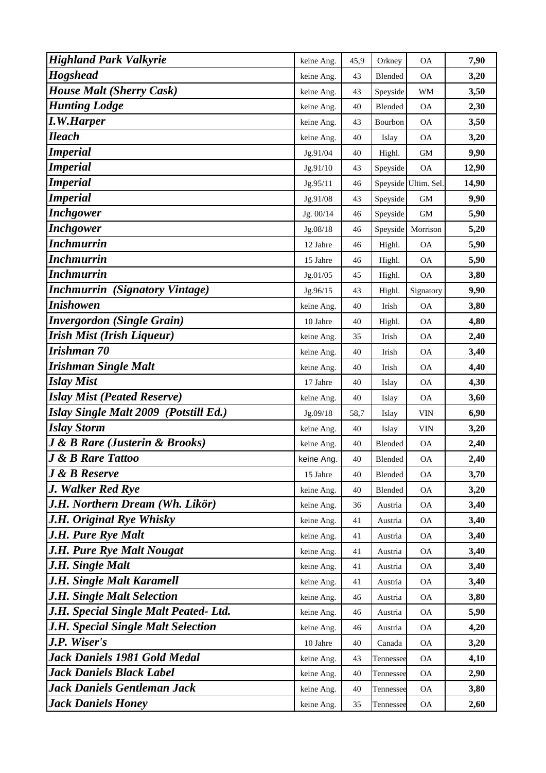| <b>Highland Park Valkyrie</b>                 | keine Ang. | 45,9 | Orkney    | <b>OA</b>            | 7,90  |
|-----------------------------------------------|------------|------|-----------|----------------------|-------|
| <b>Hogshead</b>                               | keine Ang. | 43   | Blended   | <b>OA</b>            | 3,20  |
| <b>House Malt (Sherry Cask)</b>               | keine Ang. | 43   | Speyside  | <b>WM</b>            | 3,50  |
| <b>Hunting Lodge</b>                          | keine Ang. | 40   | Blended   | <b>OA</b>            | 2,30  |
| <b>I.W.Harper</b>                             | keine Ang. | 43   | Bourbon   | <b>OA</b>            | 3,50  |
| <b>Ileach</b>                                 | keine Ang. | 40   | Islay     | <b>OA</b>            | 3,20  |
| <b>Imperial</b>                               | Jg.91/04   | 40   | Highl.    | <b>GM</b>            | 9,90  |
| <b>Imperial</b>                               | Jg.91/10   | 43   | Speyside  | <b>OA</b>            | 12,90 |
| <b>Imperial</b>                               | Jg.95/11   | 46   |           | Speyside Ultim. Sel. | 14,90 |
| <b>Imperial</b>                               | Jg.91/08   | 43   | Speyside  | <b>GM</b>            | 9,90  |
| <b>Inchgower</b>                              | Jg. 00/14  | 46   | Speyside  | GM                   | 5,90  |
| <b>Inchgower</b>                              | Jg.08/18   | 46   | Speyside  | Morrison             | 5,20  |
| <b>Inchmurrin</b>                             | 12 Jahre   | 46   | Highl.    | <b>OA</b>            | 5,90  |
| <b>Inchmurrin</b>                             | 15 Jahre   | 46   | Highl.    | ОA                   | 5,90  |
| <b>Inchmurrin</b>                             | Jg.01/05   | 45   | Highl.    | <b>OA</b>            | 3,80  |
| <b>Inchmurrin</b> (Signatory Vintage)         | Jg.96/15   | 43   | Highl.    | Signatory            | 9,90  |
| <b>Inishowen</b>                              | keine Ang. | 40   | Irish     | <b>OA</b>            | 3,80  |
| <b>Invergordon (Single Grain)</b>             | 10 Jahre   | 40   | Highl.    | <b>OA</b>            | 4,80  |
| <b>Irish Mist (Irish Liqueur)</b>             | keine Ang. | 35   | Irish     | <b>OA</b>            | 2,40  |
| Irishman 70                                   | keine Ang. | 40   | Irish     | <b>OA</b>            | 3,40  |
| <b>Irishman Single Malt</b>                   | keine Ang. | 40   | Irish     | <b>OA</b>            | 4,40  |
| <b>Islay Mist</b>                             | 17 Jahre   | 40   | Islay     | <b>OA</b>            | 4,30  |
| <b>Islay Mist (Peated Reserve)</b>            | keine Ang. | 40   | Islay     | <b>OA</b>            | 3,60  |
| Islay Single Malt 2009 (Potstill Ed.)         | Jg.09/18   | 58,7 | Islay     | <b>VIN</b>           | 6,90  |
| <b>Islay Storm</b>                            | keine Ang. | 40   | Islay     | <b>VIN</b>           | 3,20  |
| <b>J &amp; B Rare (Justerin &amp; Brooks)</b> | keine Ang. | 40   | Blended   | <b>OA</b>            | 2,40  |
| <b>J &amp; B Rare Tattoo</b>                  | keine Ang. | 40   | Blended   | <b>OA</b>            | 2,40  |
| <b>J</b> & <b>B</b> Reserve                   | 15 Jahre   | 40   | Blended   | <b>OA</b>            | 3,70  |
| J. Walker Red Rye                             | keine Ang. | 40   | Blended   | <b>OA</b>            | 3,20  |
| J.H. Northern Dream (Wh. Likör)               | keine Ang. | 36   | Austria   | <b>OA</b>            | 3,40  |
| J.H. Original Rye Whisky                      | keine Ang. | 41   | Austria   | ОA                   | 3,40  |
| J.H. Pure Rye Malt                            | keine Ang. | 41   | Austria   | ОA                   | 3,40  |
| <b>J.H. Pure Rye Malt Nougat</b>              | keine Ang. | 41   | Austria   | <b>OA</b>            | 3,40  |
| J.H. Single Malt                              | keine Ang. | 41   | Austria   | <b>OA</b>            | 3,40  |
| J.H. Single Malt Karamell                     | keine Ang. | 41   | Austria   | <b>OA</b>            | 3,40  |
| <b>J.H. Single Malt Selection</b>             | keine Ang. | 46   | Austria   | ОA                   | 3,80  |
| J.H. Special Single Malt Peated- Ltd.         | keine Ang. | 46   | Austria   | ОA                   | 5,90  |
| J.H. Special Single Malt Selection            | keine Ang. | 46   | Austria   | <b>OA</b>            | 4,20  |
| J.P. Wiser's                                  | 10 Jahre   | 40   | Canada    | OA.                  | 3,20  |
| Jack Daniels 1981 Gold Medal                  | keine Ang. | 43   | Tennessee | <b>OA</b>            | 4,10  |
| <b>Jack Daniels Black Label</b>               | keine Ang. | 40   | Tennessee | <b>OA</b>            | 2,90  |
| <b>Jack Daniels Gentleman Jack</b>            | keine Ang. | 40   | Tennessee | <b>OA</b>            | 3,80  |
| <b>Jack Daniels Honey</b>                     | keine Ang. | 35   | Tennessee | <b>OA</b>            | 2,60  |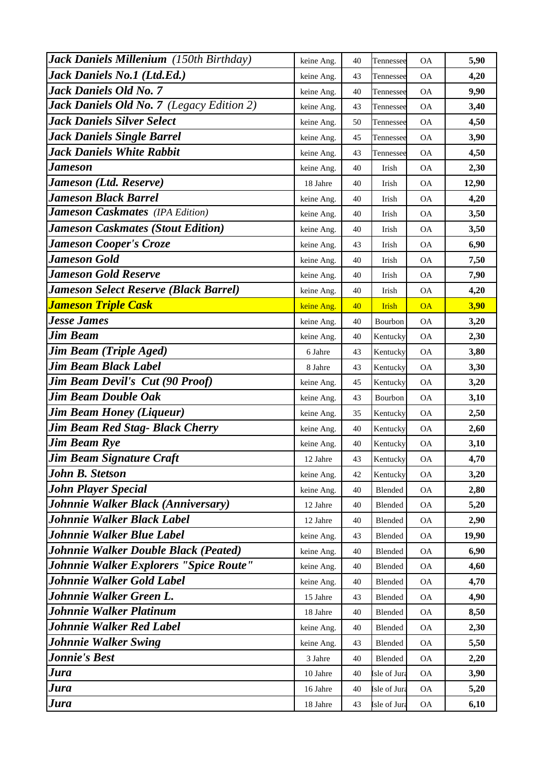| Jack Daniels Millenium (150th Birthday)      | keine Ang. | 40 | Tennessee    | <b>OA</b>                | 5,90  |
|----------------------------------------------|------------|----|--------------|--------------------------|-------|
| Jack Daniels No.1 (Ltd.Ed.)                  | keine Ang. | 43 | Tennessee    | <b>OA</b>                | 4,20  |
| <b>Jack Daniels Old No. 7</b>                | keine Ang. | 40 | Tennessee    | <b>OA</b>                | 9,90  |
| Jack Daniels Old No. 7 (Legacy Edition 2)    | keine Ang. | 43 | Tennessee    | <b>OA</b>                | 3,40  |
| <b>Jack Daniels Silver Select</b>            | keine Ang. | 50 | Tennessee    | <b>OA</b>                | 4,50  |
| <b>Jack Daniels Single Barrel</b>            | keine Ang. | 45 | Tennessee    | <b>OA</b>                | 3,90  |
| <b>Jack Daniels White Rabbit</b>             | keine Ang. | 43 | Tennessee    | <b>OA</b>                | 4,50  |
| Jameson                                      | keine Ang. | 40 | Irish        | <b>OA</b>                | 2,30  |
| Jameson (Ltd. Reserve)                       | 18 Jahre   | 40 | Irish        | ОA                       | 12,90 |
| <b>Jameson Black Barrel</b>                  | keine Ang. | 40 | Irish        | <b>OA</b>                | 4,20  |
| <b>Jameson Caskmates</b> (IPA Edition)       | keine Ang. | 40 | Irish        | <b>OA</b>                | 3,50  |
| <b>Jameson Caskmates (Stout Edition)</b>     | keine Ang. | 40 | Irish        | <b>OA</b>                | 3,50  |
| <b>Jameson Cooper's Croze</b>                | keine Ang. | 43 | Irish        | <b>OA</b>                | 6,90  |
| <b>Jameson Gold</b>                          | keine Ang. | 40 | Irish        | <b>OA</b>                | 7,50  |
| <b>Jameson Gold Reserve</b>                  | keine Ang. | 40 | Irish        | <b>OA</b>                | 7,90  |
| <b>Jameson Select Reserve (Black Barrel)</b> | keine Ang. | 40 | Irish        | <b>OA</b>                | 4,20  |
| <mark>Jameson Triple Cask</mark>             | keine Ang. | 40 | <b>Irish</b> | <b>OA</b>                | 3,90  |
| <b>Jesse James</b>                           | keine Ang. | 40 | Bourbon      | <b>OA</b>                | 3,20  |
| <b>Jim Beam</b>                              | keine Ang. | 40 | Kentucky     | <b>OA</b>                | 2,30  |
| <b>Jim Beam (Triple Aged)</b>                | 6 Jahre    | 43 | Kentucky     | <b>OA</b>                | 3,80  |
| Jim Beam Black Label                         | 8 Jahre    | 43 | Kentucky     | <b>OA</b>                | 3,30  |
| <b>Jim Beam Devil's Cut (90 Proof)</b>       | keine Ang. | 45 | Kentucky     | <b>OA</b>                | 3,20  |
| <b>Jim Beam Double Oak</b>                   | keine Ang. | 43 | Bourbon      | <b>OA</b>                | 3,10  |
| <b>Jim Beam Honey (Liqueur)</b>              | keine Ang. | 35 | Kentucky     | <b>OA</b>                | 2,50  |
| Jim Beam Red Stag- Black Cherry              | keine Ang. | 40 | Kentucky     | <b>OA</b>                | 2,60  |
| <b>Jim Beam Rye</b>                          | keine Ang. | 40 | Kentucky     | <b>OA</b>                | 3,10  |
| <b>Jim Beam Signature Craft</b>              | 12 Jahre   | 43 | Kentucky     | <b>OA</b>                | 4,70  |
| John B. Stetson                              | keine Ang. | 42 | Kentucky     | <b>OA</b>                | 3,20  |
| <b>John Player Special</b>                   | keine Ang. | 40 | Blended      | $\mathcal{O}\mathcal{A}$ | 2,80  |
| Johnnie Walker Black (Anniversary)           | 12 Jahre   | 40 | Blended      | <b>OA</b>                | 5,20  |
| Johnnie Walker Black Label                   | 12 Jahre   | 40 | Blended      | <b>OA</b>                | 2,90  |
| Johnnie Walker Blue Label                    | keine Ang. | 43 | Blended      | <b>OA</b>                | 19,90 |
| Johnnie Walker Double Black (Peated)         | keine Ang. | 40 | Blended      | <b>OA</b>                | 6,90  |
| Johnnie Walker Explorers "Spice Route"       | keine Ang. | 40 | Blended      | <b>OA</b>                | 4,60  |
| Johnnie Walker Gold Label                    | keine Ang. | 40 | Blended      | <b>OA</b>                | 4,70  |
| Johnnie Walker Green L.                      | 15 Jahre   | 43 | Blended      | <b>OA</b>                | 4,90  |
| Johnnie Walker Platinum                      | 18 Jahre   | 40 | Blended      | <b>OA</b>                | 8,50  |
| <b>Johnnie Walker Red Label</b>              | keine Ang. | 40 | Blended      | OA                       | 2,30  |
| <b>Johnnie Walker Swing</b>                  | keine Ang. | 43 | Blended      | <b>OA</b>                | 5,50  |
| <b>Jonnie's Best</b>                         | 3 Jahre    | 40 | Blended      | <b>OA</b>                | 2,20  |
| Jura                                         | 10 Jahre   | 40 | sle of Jura  | <b>OA</b>                | 3,90  |
| Jura                                         | 16 Jahre   | 40 | Isle of Jura | <b>OA</b>                | 5,20  |
| <b>Jura</b>                                  | 18 Jahre   | 43 | Isle of Jura | <b>OA</b>                | 6,10  |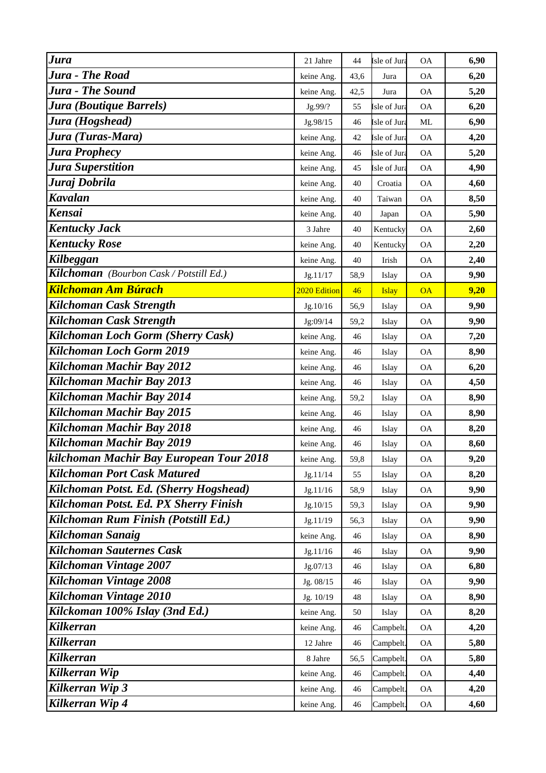| <b>Jura</b>                              | 21 Jahre     | 44   | Isle of Jura | <b>OA</b>                | 6,90 |
|------------------------------------------|--------------|------|--------------|--------------------------|------|
| <b>Jura - The Road</b>                   | keine Ang.   | 43,6 | Jura         | <b>OA</b>                | 6,20 |
| <b>Jura - The Sound</b>                  | keine Ang.   | 42,5 | Jura         | <b>OA</b>                | 5,20 |
| Jura (Boutique Barrels)                  | Jg.99/?      | 55   | sle of Jura  | <b>OA</b>                | 6,20 |
| Jura (Hogshead)                          | Jg.98/15     | 46   | Isle of Jura | ML                       | 6,90 |
| Jura (Turas-Mara)                        | keine Ang.   | 42   | Isle of Jura | <b>OA</b>                | 4,20 |
| Jura Prophecy                            | keine Ang.   | 46   | Isle of Jura | <b>OA</b>                | 5,20 |
| <b>Jura Superstition</b>                 | keine Ang.   | 45   | sle of Jura  | <b>OA</b>                | 4,90 |
| Juraj Dobrila                            | keine Ang.   | 40   | Croatia      | $\mathcal{O}\mathcal{A}$ | 4,60 |
| <b>Kavalan</b>                           | keine Ang.   | 40   | Taiwan       | <b>OA</b>                | 8,50 |
| <b>Kensai</b>                            | keine Ang.   | 40   | Japan        | <b>OA</b>                | 5,90 |
| <b>Kentucky Jack</b>                     | 3 Jahre      | 40   | Kentucky     | <b>OA</b>                | 2,60 |
| <b>Kentucky Rose</b>                     | keine Ang.   | 40   | Kentucky     | <b>OA</b>                | 2,20 |
| Kilbeggan                                | keine Ang.   | 40   | Irish        | <b>OA</b>                | 2,40 |
| Kilchoman (Bourbon Cask / Potstill Ed.)  | Jg.11/17     | 58,9 | Islay        | <b>OA</b>                | 9,90 |
| <b>Kilchoman Am Búrach</b>               | 2020 Edition | 46   | <b>Islay</b> | <b>OA</b>                | 9,20 |
| Kilchoman Cask Strength                  | Jg.10/16     | 56,9 | Islay        | <b>OA</b>                | 9,90 |
| Kilchoman Cask Strength                  | Jg:09/14     | 59,2 | Islay        | <b>OA</b>                | 9,90 |
| <b>Kilchoman Loch Gorm (Sherry Cask)</b> | keine Ang.   | 46   | Islay        | <b>OA</b>                | 7,20 |
| Kilchoman Loch Gorm 2019                 | keine Ang.   | 46   | Islay        | <b>OA</b>                | 8,90 |
| Kilchoman Machir Bay 2012                | keine Ang.   | 46   | Islay        | <b>OA</b>                | 6,20 |
| Kilchoman Machir Bay 2013                | keine Ang.   | 46   | Islay        | <b>OA</b>                | 4,50 |
| Kilchoman Machir Bay 2014                | keine Ang.   | 59,2 | Islay        | <b>OA</b>                | 8,90 |
| Kilchoman Machir Bay 2015                | keine Ang.   | 46   | Islay        | <b>OA</b>                | 8,90 |
| Kilchoman Machir Bay 2018                | keine Ang.   | 46   | Islay        | $\mathsf{OA}$            | 8,20 |
| Kilchoman Machir Bay 2019                | keine Ang.   | 46   | Islay        | <b>OA</b>                | 8,60 |
| kilchoman Machir Bay European Tour 2018  | keine Ang.   | 59,8 | Islay        | <b>OA</b>                | 9,20 |
| <b>Kilchoman Port Cask Matured</b>       | Jg.11/14     | 55   | Islay        | <b>OA</b>                | 8,20 |
| Kilchoman Potst. Ed. (Sherry Hogshead)   | Jg.11/16     | 58,9 | Islay        | <b>OA</b>                | 9,90 |
| Kilchoman Potst. Ed. PX Sherry Finish    | Jg.10/15     | 59,3 | Islay        | <b>OA</b>                | 9,90 |
| Kilchoman Rum Finish (Potstill Ed.)      | Jg.11/19     | 56,3 | Islay        | <b>OA</b>                | 9,90 |
| Kilchoman Sanaig                         | keine Ang.   | 46   | Islay        | <b>OA</b>                | 8,90 |
| <b>Kilchoman Sauternes Cask</b>          | Jg.11/16     | 46   | Islay        | <b>OA</b>                | 9,90 |
| Kilchoman Vintage 2007                   | Jg.07/13     | 46   | Islay        | <b>OA</b>                | 6,80 |
| Kilchoman Vintage 2008                   | Jg. 08/15    | 46   | Islay        | <b>OA</b>                | 9,90 |
| Kilchoman Vintage 2010                   | Jg. 10/19    | 48   | Islay        | <b>OA</b>                | 8,90 |
| Kilckoman 100% Islay (3nd Ed.)           | keine Ang.   | 50   | Islay        | <b>OA</b>                | 8,20 |
| <b>Kilkerran</b>                         | keine Ang.   | 46   | Campbelt.    | <b>OA</b>                | 4,20 |
| <b>Kilkerran</b>                         | 12 Jahre     | 46   | Campbelt.    | <b>OA</b>                | 5,80 |
| Kilkerran                                | 8 Jahre      | 56,5 | Campbelt.    | <b>OA</b>                | 5,80 |
| Kilkerran Wip                            | keine Ang.   | 46   | Campbelt.    | <b>OA</b>                | 4,40 |
| Kilkerran Wip 3                          | keine Ang.   | 46   | Campbelt.    | <b>OA</b>                | 4,20 |
| Kilkerran Wip 4                          | keine Ang.   | 46   | Campbelt.    | <b>OA</b>                | 4,60 |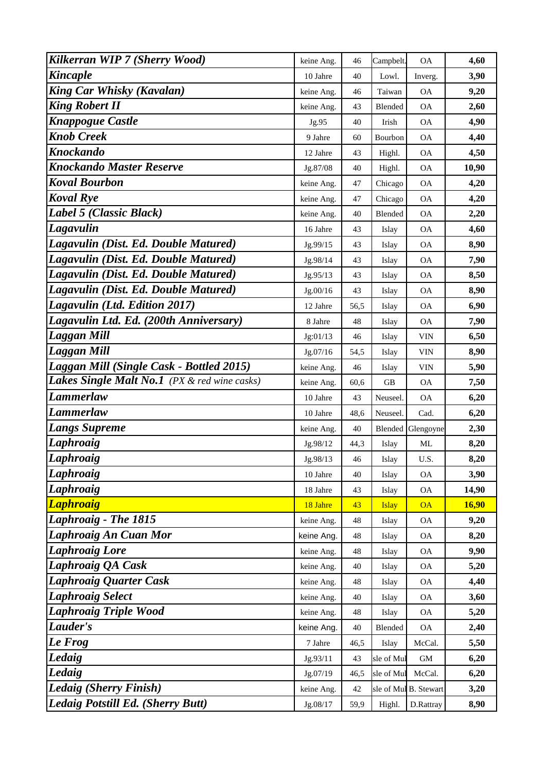| Kilkerran WIP 7 (Sherry Wood)                | keine Ang. | 46   | Campbelt.    | <b>OA</b>                | 4,60         |
|----------------------------------------------|------------|------|--------------|--------------------------|--------------|
| <b>Kincaple</b>                              | 10 Jahre   | 40   | Lowl.        | Inverg.                  | 3,90         |
| <b>King Car Whisky (Kavalan)</b>             | keine Ang. | 46   | Taiwan       | ОA                       | 9,20         |
| <b>King Robert II</b>                        | keine Ang. | 43   | Blended      | <b>OA</b>                | 2,60         |
| <b>Knappogue Castle</b>                      | Jg.95      | 40   | Irish        | <b>OA</b>                | 4,90         |
| <b>Knob Creek</b>                            | 9 Jahre    | 60   | Bourbon      | <b>OA</b>                | 4,40         |
| <b>Knockando</b>                             | 12 Jahre   | 43   | Highl.       | ОA                       | 4,50         |
| Knockando Master Reserve                     | Jg.87/08   | 40   | Highl.       | <b>OA</b>                | 10,90        |
| <b>Koval Bourbon</b>                         | keine Ang. | 47   | Chicago      | <b>OA</b>                | 4,20         |
| <b>Koval Rye</b>                             | keine Ang. | 47   | Chicago      | <b>OA</b>                | 4,20         |
| Label 5 (Classic Black)                      | keine Ang. | 40   | Blended      | <b>OA</b>                | 2,20         |
| Lagavulin                                    | 16 Jahre   | 43   | Islay        | <b>OA</b>                | 4,60         |
| Lagavulin (Dist. Ed. Double Matured)         | Jg.99/15   | 43   | Islay        | <b>OA</b>                | 8,90         |
| Lagavulin (Dist. Ed. Double Matured)         | Jg.98/14   | 43   | Islay        | <b>OA</b>                | 7,90         |
| Lagavulin (Dist. Ed. Double Matured)         | Jg.95/13   | 43   | Islay        | <b>OA</b>                | 8,50         |
| Lagavulin (Dist. Ed. Double Matured)         | Jg.00/16   | 43   | Islay        | <b>OA</b>                | 8,90         |
| Lagavulin (Ltd. Edition 2017)                | 12 Jahre   | 56,5 | Islay        | <b>OA</b>                | 6,90         |
| Lagavulin Ltd. Ed. (200th Anniversary)       | 8 Jahre    | 48   | Islay        | <b>OA</b>                | 7,90         |
| <b>Laggan Mill</b>                           | Jg:01/13   | 46   | Islay        | <b>VIN</b>               | 6,50         |
| Laggan Mill                                  | Jg.07/16   | 54,5 | Islay        | <b>VIN</b>               | 8,90         |
| Laggan Mill (Single Cask - Bottled 2015)     | keine Ang. | 46   | Islay        | <b>VIN</b>               | 5,90         |
| Lakes Single Malt No.1 (PX & red wine casks) | keine Ang. | 60,6 | GВ           | <b>OA</b>                | 7,50         |
| <b>Lammerlaw</b>                             | 10 Jahre   | 43   | Neuseel.     | ОA                       | 6,20         |
| <b>Lammerlaw</b>                             | 10 Jahre   | 48,6 | Neuseel.     | Cad.                     | 6,20         |
| <b>Langs Supreme</b>                         | keine Ang. | 40   |              | <b>Blended</b> Glengoyne | 2,30         |
| <b>Laphroaig</b>                             | Jg.98/12   | 44,3 | Islay        | ML                       | 8,20         |
| Laphroaig                                    | Jg.98/13   | 46   | Islay        | U.S.                     | 8,20         |
| Laphroaig                                    | 10 Jahre   | 40   | Islay        | <b>OA</b>                | 3,90         |
| <b>Laphroaig</b>                             | 18 Jahre   | 43   | Islay        | <b>OA</b>                | 14,90        |
| <b>Laphroaig</b>                             | 18 Jahre   | 43   | <b>Islay</b> | <b>OA</b>                | <b>16,90</b> |
| Laphroaig - The 1815                         | keine Ang. | 48   | Islay        | <b>OA</b>                | 9,20         |
| Laphroaig An Cuan Mor                        | keine Ang. | 48   | Islay        | <b>OA</b>                | 8,20         |
| <b>Laphroaig Lore</b>                        | keine Ang. | 48   | Islay        | <b>OA</b>                | 9,90         |
| <b>Laphroaig QA Cask</b>                     | keine Ang. | 40   | Islay        | <b>OA</b>                | 5,20         |
| <b>Laphroaig Quarter Cask</b>                | keine Ang. | 48   | Islay        | <b>OA</b>                | 4,40         |
| <b>Laphroaig Select</b>                      | keine Ang. | 40   | Islay        | <b>OA</b>                | 3,60         |
| <b>Laphroaig Triple Wood</b>                 | keine Ang. | 48   | Islay        | <b>OA</b>                | 5,20         |
| Lauder's                                     | keine Ang. | 40   | Blended      | <b>OA</b>                | 2,40         |
| Le Frog                                      | 7 Jahre    | 46,5 | Islay        | McCal.                   | 5,50         |
| Ledaig                                       | Jg.93/11   | 43   | sle of Mul   | <b>GM</b>                | 6,20         |
| Ledaig                                       | Jg.07/19   | 46,5 | sle of Mul   | McCal.                   | 6,20         |
| Ledaig (Sherry Finish)                       | keine Ang. | 42   |              | sle of Mul B. Stewart    | 3,20         |
| Ledaig Potstill Ed. (Sherry Butt)            | Jg.08/17   | 59,9 | Highl.       | D.Rattray                | 8,90         |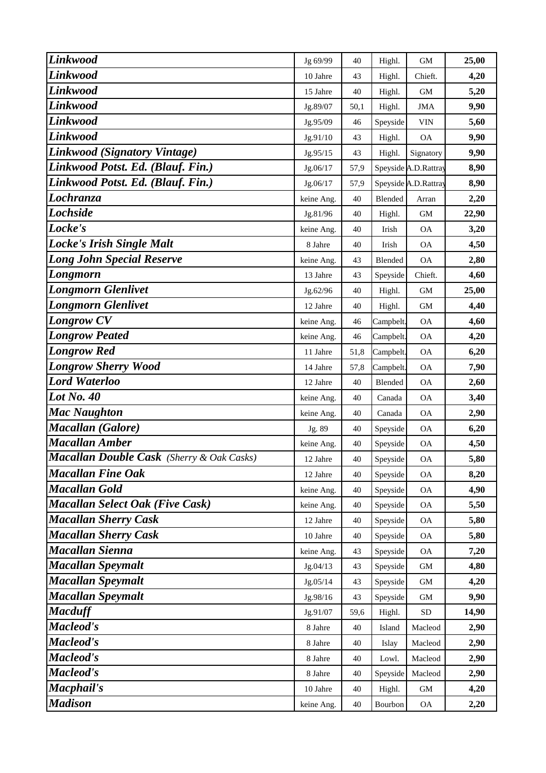| Linkwood                                         | Jg 69/99   | 40   | Highl.    | <b>GM</b>            | 25,00 |
|--------------------------------------------------|------------|------|-----------|----------------------|-------|
| <b>Linkwood</b>                                  | 10 Jahre   | 43   | Highl.    | Chieft.              | 4,20  |
| <b>Linkwood</b>                                  | 15 Jahre   | 40   | Highl.    | <b>GM</b>            | 5,20  |
| Linkwood                                         | Jg.89/07   | 50,1 | Highl.    | <b>JMA</b>           | 9,90  |
| Linkwood                                         | Jg.95/09   | 46   | Speyside  | VIN                  | 5,60  |
| Linkwood                                         | Jg.91/10   | 43   | Highl.    | <b>OA</b>            | 9,90  |
| Linkwood (Signatory Vintage)                     | Jg.95/15   | 43   | Highl.    | Signatory            | 9,90  |
| Linkwood Potst. Ed. (Blauf. Fin.)                | Jg.06/17   | 57,9 |           | Speyside A.D.Rattray | 8,90  |
| Linkwood Potst. Ed. (Blauf. Fin.)                | Jg.06/17   | 57,9 |           | Speyside A.D.Rattray | 8,90  |
| Lochranza                                        | keine Ang. | 40   | Blended   | Arran                | 2,20  |
| <b>Lochside</b>                                  | Jg.81/96   | 40   | Highl.    | GM                   | 22,90 |
| Locke's                                          | keine Ang. | 40   | Irish     | <b>OA</b>            | 3,20  |
| <b>Locke's Irish Single Malt</b>                 | 8 Jahre    | 40   | Irish     | <b>OA</b>            | 4,50  |
| <b>Long John Special Reserve</b>                 | keine Ang. | 43   | Blended   | <b>OA</b>            | 2,80  |
| Longmorn                                         | 13 Jahre   | 43   | Speyside  | Chieft.              | 4,60  |
| <b>Longmorn Glenlivet</b>                        | Jg.62/96   | 40   | Highl.    | GM                   | 25,00 |
| <b>Longmorn Glenlivet</b>                        | 12 Jahre   | 40   | Highl.    | GM                   | 4,40  |
| <b>Longrow CV</b>                                | keine Ang. | 46   | Campbelt. | <b>OA</b>            | 4,60  |
| <b>Longrow Peated</b>                            | keine Ang. | 46   | Campbelt. | <b>OA</b>            | 4,20  |
| <b>Longrow Red</b>                               | 11 Jahre   | 51,8 | Campbelt. | <b>OA</b>            | 6,20  |
| <b>Longrow Sherry Wood</b>                       | 14 Jahre   | 57,8 | Campbelt. | <b>OA</b>            | 7,90  |
| <b>Lord Waterloo</b>                             | 12 Jahre   | 40   | Blended   | <b>OA</b>            | 2,60  |
| <b>Lot No. 40</b>                                | keine Ang. | 40   | Canada    | <b>OA</b>            | 3,40  |
| <b>Mac Naughton</b>                              | keine Ang. | 40   | Canada    | <b>OA</b>            | 2,90  |
| <b>Macallan</b> (Galore)                         | Jg. 89     | 40   | Speyside  | $\mathsf{OA}$        | 6,20  |
| <b>Macallan Amber</b>                            | keine Ang. | 40   | Speyside  | <b>OA</b>            | 4,50  |
| <b>Macallan Double Cask</b> (Sherry & Oak Casks) | 12 Jahre   | 40   | Speyside  | <b>OA</b>            | 5,80  |
| <b>Macallan Fine Oak</b>                         | 12 Jahre   | 40   | Speyside  | <b>OA</b>            | 8,20  |
| <b>Macallan Gold</b>                             | keine Ang. | 40   | Speyside  | <b>OA</b>            | 4,90  |
| <b>Macallan Select Oak (Five Cask)</b>           | keine Ang. | 40   | Speyside  | OA                   | 5,50  |
| <b>Macallan Sherry Cask</b>                      | 12 Jahre   | 40   | Speyside  | <b>OA</b>            | 5,80  |
| <b>Macallan Sherry Cask</b>                      | 10 Jahre   | 40   | Speyside  | <b>OA</b>            | 5,80  |
| <b>Macallan Sienna</b>                           | keine Ang. | 43   | Speyside  | <b>OA</b>            | 7,20  |
| <b>Macallan Speymalt</b>                         | Jg.04/13   | 43   | Speyside  | $\mbox{GM}$          | 4,80  |
| <b>Macallan Speymalt</b>                         | Jg.05/14   | 43   | Speyside  | $\mbox{GM}$          | 4,20  |
| <b>Macallan Speymalt</b>                         | Jg.98/16   | 43   | Speyside  | $\mbox{GM}$          | 9,90  |
| <b>Macduff</b>                                   | Jg.91/07   | 59,6 | Highl.    | <b>SD</b>            | 14,90 |
| Macleod's                                        | 8 Jahre    | 40   | Island    | Macleod              | 2,90  |
| Macleod's                                        | 8 Jahre    | 40   | Islay     | Macleod              | 2,90  |
| Macleod's                                        | 8 Jahre    | 40   | Lowl.     | Macleod              | 2,90  |
| Macleod's                                        | 8 Jahre    | 40   | Speyside  | Macleod              | 2,90  |
| Macphail's                                       | 10 Jahre   | 40   | Highl.    | GM                   | 4,20  |
| <b>Madison</b>                                   | keine Ang. | 40   | Bourbon   | OA                   | 2,20  |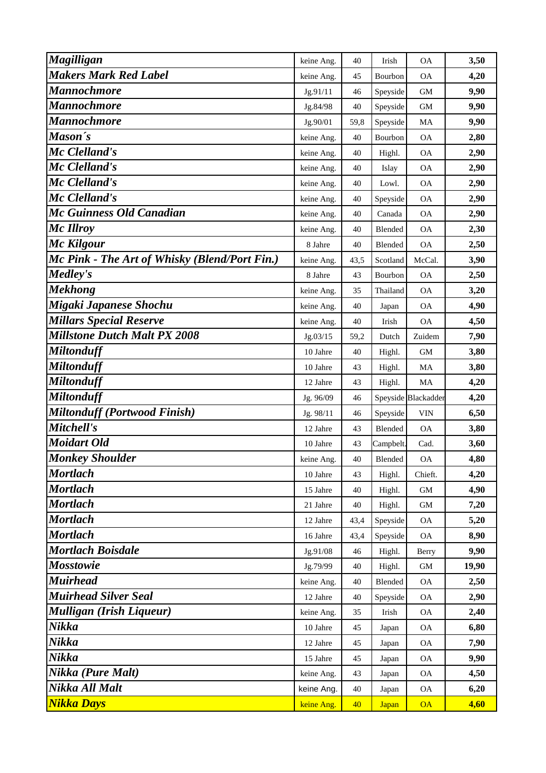| <b>Magilligan</b>                             | keine Ang. | 40   | Irish        | <b>OA</b>           | 3,50  |
|-----------------------------------------------|------------|------|--------------|---------------------|-------|
| <b>Makers Mark Red Label</b>                  | keine Ang. | 45   | Bourbon      | <b>OA</b>           | 4,20  |
| Mannochmore                                   | Jg.91/11   | 46   | Speyside     | <b>GM</b>           | 9,90  |
| Mannochmore                                   | Jg.84/98   | 40   | Speyside     | <b>GM</b>           | 9,90  |
| <b>Mannochmore</b>                            | Jg.90/01   | 59,8 | Speyside     | MA                  | 9,90  |
| Mason's                                       | keine Ang. | 40   | Bourbon      | <b>OA</b>           | 2,80  |
| Mc Clelland's                                 | keine Ang. | 40   | Highl.       | <b>OA</b>           | 2,90  |
| Mc Clelland's                                 | keine Ang. | 40   | Islay        | <b>OA</b>           | 2,90  |
| Mc Clelland's                                 | keine Ang. | 40   | Lowl.        | <b>OA</b>           | 2,90  |
| Mc Clelland's                                 | keine Ang. | 40   | Speyside     | ОA                  | 2,90  |
| Mc Guinness Old Canadian                      | keine Ang. | 40   | Canada       | <b>OA</b>           | 2,90  |
| Mc Illroy                                     | keine Ang. | 40   | Blended      | ОA                  | 2,30  |
| Mc Kilgour                                    | 8 Jahre    | 40   | Blended      | <b>OA</b>           | 2,50  |
| Mc Pink - The Art of Whisky (Blend/Port Fin.) | keine Ang. | 43,5 | Scotland     | McCal.              | 3,90  |
| <b>Medley's</b>                               | 8 Jahre    | 43   | Bourbon      | <b>OA</b>           | 2,50  |
| <b>Mekhong</b>                                | keine Ang. | 35   | Thailand     | <b>OA</b>           | 3,20  |
| Migaki Japanese Shochu                        | keine Ang. | 40   | Japan        | ОA                  | 4,90  |
| <b>Millars Special Reserve</b>                | keine Ang. | 40   | Irish        | <b>OA</b>           | 4,50  |
| <b>Millstone Dutch Malt PX 2008</b>           | Jg.03/15   | 59,2 | Dutch        | Zuidem              | 7,90  |
| <b>Miltonduff</b>                             | 10 Jahre   | 40   | Highl.       | <b>GM</b>           | 3,80  |
| <b>Miltonduff</b>                             | 10 Jahre   | 43   | Highl.       | MA                  | 3,80  |
| <b>Miltonduff</b>                             | 12 Jahre   | 43   | Highl.       | MA                  | 4,20  |
| <b>Miltonduff</b>                             | Jg. 96/09  | 46   |              | Speyside Blackadder | 4,20  |
| <b>Miltonduff (Portwood Finish)</b>           | Jg. 98/11  | 46   | Speyside     | <b>VIN</b>          | 6,50  |
| Mitchell's                                    | 12 Jahre   | 43   | Blended      | <b>OA</b>           | 3,80  |
| Moidart Old                                   | 10 Jahre   | 43   | Campbelt.    | Cad.                | 3,60  |
| <b>Monkey Shoulder</b>                        | keine Ang. | 40   | Blended      | ОA                  | 4,80  |
| <b>Mortlach</b>                               | 10 Jahre   | 43   | Highl.       | Chieft.             | 4,20  |
| <b>Mortlach</b>                               | 15 Jahre   | 40   | Highl.       | GM                  | 4,90  |
| <b>Mortlach</b>                               | 21 Jahre   | 40   | Highl.       | GM                  | 7,20  |
| <b>Mortlach</b>                               | 12 Jahre   | 43,4 | Speyside     | <b>OA</b>           | 5,20  |
| <b>Mortlach</b>                               | 16 Jahre   | 43,4 | Speyside     | <b>OA</b>           | 8,90  |
| <b>Mortlach Boisdale</b>                      | Jg.91/08   | 46   | Highl.       | Berry               | 9,90  |
| <b>Mosstowie</b>                              | Jg.79/99   | 40   | Highl.       | GM                  | 19,90 |
| <b>Muirhead</b>                               | keine Ang. | 40   | Blended      | <b>OA</b>           | 2,50  |
| <b>Muirhead Silver Seal</b>                   | 12 Jahre   | 40   | Speyside     | <b>OA</b>           | 2,90  |
| <b>Mulligan (Irish Liqueur)</b>               | keine Ang. | 35   | Irish        | <b>OA</b>           | 2,40  |
| Nikka                                         | 10 Jahre   | 45   | Japan        | <b>OA</b>           | 6,80  |
| Nikka                                         | 12 Jahre   | 45   | Japan        | <b>OA</b>           | 7,90  |
| Nikka                                         | 15 Jahre   | 45   | Japan        | <b>OA</b>           | 9,90  |
| Nikka (Pure Malt)                             | keine Ang. | 43   | Japan        | <b>OA</b>           | 4,50  |
| Nikka All Malt                                | keine Ang. | 40   | Japan        | <b>OA</b>           | 6,20  |
| <b>Nikka Days</b>                             | keine Ang. | 40   | <b>Japan</b> | <b>OA</b>           | 4,60  |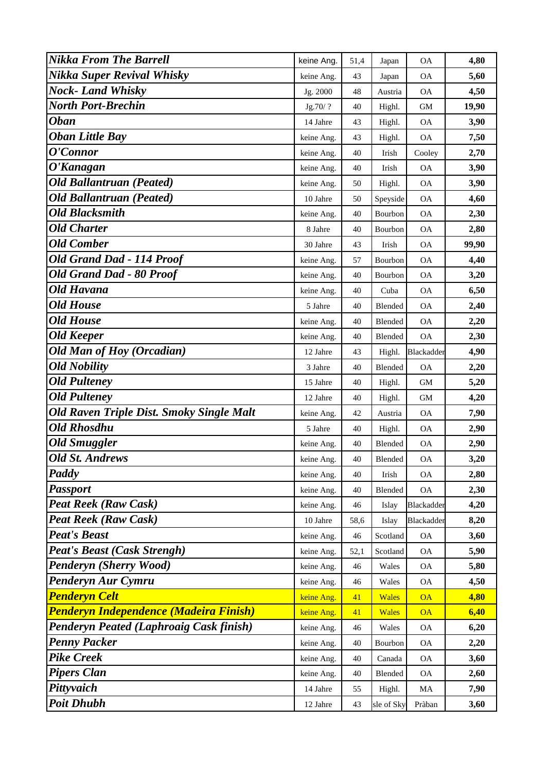| <b>Nikka From The Barrell</b>                   | keine Ang. | 51,4 | Japan        | <b>OA</b>  | 4,80  |
|-------------------------------------------------|------------|------|--------------|------------|-------|
| Nikka Super Revival Whisky                      | keine Ang. | 43   | Japan        | <b>OA</b>  | 5,60  |
| <b>Nock-Land Whisky</b>                         | Jg. 2000   | 48   | Austria      | <b>OA</b>  | 4,50  |
| North Port-Brechin                              | Jg.70/?    | 40   | Highl.       | <b>GM</b>  | 19,90 |
| <b>Oban</b>                                     | 14 Jahre   | 43   | Highl.       | <b>OA</b>  | 3,90  |
| <b>Oban Little Bay</b>                          | keine Ang. | 43   | Highl.       | <b>OA</b>  | 7,50  |
| O'Connor                                        | keine Ang. | 40   | Irish        | Cooley     | 2,70  |
| O'Kanagan                                       | keine Ang. | 40   | Irish        | <b>OA</b>  | 3,90  |
| <b>Old Ballantruan (Peated)</b>                 | keine Ang. | 50   | Highl.       | <b>OA</b>  | 3,90  |
| <b>Old Ballantruan (Peated)</b>                 | 10 Jahre   | 50   | Speyside     | <b>OA</b>  | 4,60  |
| <b>Old Blacksmith</b>                           | keine Ang. | 40   | Bourbon      | <b>OA</b>  | 2,30  |
| <b>Old Charter</b>                              | 8 Jahre    | 40   | Bourbon      | <b>OA</b>  | 2,80  |
| <b>Old Comber</b>                               | 30 Jahre   | 43   | Irish        | <b>OA</b>  | 99,90 |
| <b>Old Grand Dad - 114 Proof</b>                | keine Ang. | 57   | Bourbon      | ОA         | 4,40  |
| Old Grand Dad - 80 Proof                        | keine Ang. | 40   | Bourbon      | <b>OA</b>  | 3,20  |
| Old Havana                                      | keine Ang. | 40   | Cuba         | <b>OA</b>  | 6,50  |
| <b>Old House</b>                                | 5 Jahre    | 40   | Blended      | <b>OA</b>  | 2,40  |
| <b>Old House</b>                                | keine Ang. | 40   | Blended      | <b>OA</b>  | 2,20  |
| <b>Old Keeper</b>                               | keine Ang. | 40   | Blended      | <b>OA</b>  | 2,30  |
| <b>Old Man of Hoy (Orcadian)</b>                | 12 Jahre   | 43   | Highl.       | Blackadder | 4,90  |
| <b>Old Nobility</b>                             | 3 Jahre    | 40   | Blended      | <b>OA</b>  | 2,20  |
| <b>Old Pulteney</b>                             | 15 Jahre   | 40   | Highl.       | <b>GM</b>  | 5,20  |
| <b>Old Pulteney</b>                             | 12 Jahre   | 40   | Highl.       | GМ         | 4,20  |
| <b>Old Raven Triple Dist. Smoky Single Malt</b> | keine Ang. | 42   | Austria      | <b>OA</b>  | 7,90  |
| <b>Old Rhosdhu</b>                              | 5 Jahre    | 40   | Highl.       | <b>OA</b>  | 2,90  |
| <b>Old Smuggler</b>                             | keine Ang. | 40   | Blended      | ОA         | 2,90  |
| <b>Old St. Andrews</b>                          | keine Ang. | 40   | Blended      | <b>OA</b>  | 3,20  |
| Paddy                                           | keine Ang. | 40   | Irish        | <b>OA</b>  | 2,80  |
| <b>Passport</b>                                 | keine Ang. | 40   | Blended      | <b>OA</b>  | 2,30  |
| <b>Peat Reek (Raw Cask)</b>                     | keine Ang. | 46   | Islay        | Blackadder | 4,20  |
| <b>Peat Reek (Raw Cask)</b>                     | 10 Jahre   | 58,6 | Islay        | Blackadder | 8,20  |
| <b>Peat's Beast</b>                             | keine Ang. | 46   | Scotland     | <b>OA</b>  | 3,60  |
| <b>Peat's Beast (Cask Strengh)</b>              | keine Ang. | 52,1 | Scotland     | <b>OA</b>  | 5,90  |
| <b>Penderyn (Sherry Wood)</b>                   | keine Ang. | 46   | Wales        | <b>OA</b>  | 5,80  |
| Penderyn Aur Cymru                              | keine Ang. | 46   | Wales        | <b>OA</b>  | 4,50  |
| <b>Penderyn Celt</b>                            | keine Ang. | 41   | <b>Wales</b> | <b>OA</b>  | 4,80  |
| <b>Penderyn Independence (Madeira Finish)</b>   | keine Ang. | 41   | <b>Wales</b> | <b>OA</b>  | 6,40  |
| <b>Penderyn Peated (Laphroaig Cask finish)</b>  | keine Ang. | 46   | Wales        | <b>OA</b>  | 6,20  |
| <b>Penny Packer</b>                             | keine Ang. | 40   | Bourbon      | <b>OA</b>  | 2,20  |
| <b>Pike Creek</b>                               | keine Ang. | 40   | Canada       | <b>OA</b>  | 3,60  |
| <b>Pipers Clan</b>                              | keine Ang. | 40   | Blended      | <b>OA</b>  | 2,60  |
| Pittyvaich                                      | 14 Jahre   | 55   | Highl.       | MA         | 7,90  |
| <b>Poit Dhubh</b>                               | 12 Jahre   | 43   | sle of Sky   | Pràban     | 3,60  |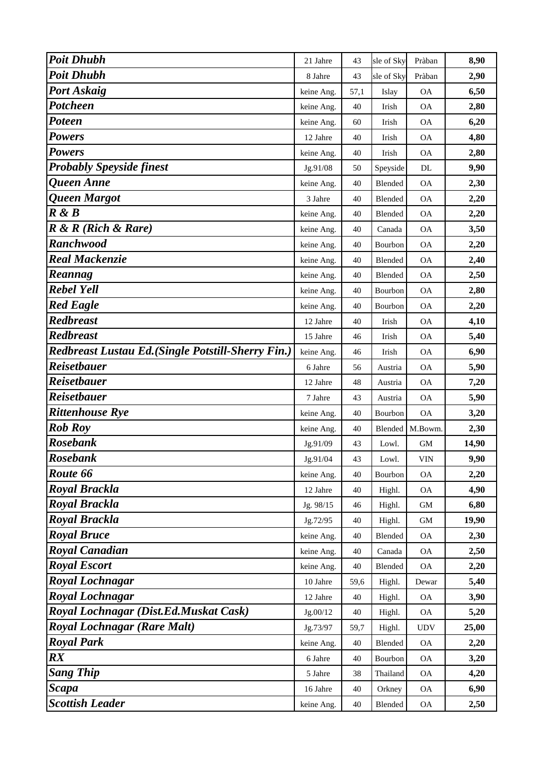| <b>Poit Dhubh</b>                                  | 21 Jahre   | 43   | sle of Sky     | Pràban     | 8,90  |
|----------------------------------------------------|------------|------|----------------|------------|-------|
| <b>Poit Dhubh</b>                                  | 8 Jahre    | 43   | sle of Sky     | Pràban     | 2,90  |
| <b>Port Askaig</b>                                 | keine Ang. | 57,1 | Islay          | <b>OA</b>  | 6,50  |
| <b>Potcheen</b>                                    | keine Ang. | 40   | Irish          | <b>OA</b>  | 2,80  |
| Poteen                                             | keine Ang. | 60   | Irish          | <b>OA</b>  | 6,20  |
| <b>Powers</b>                                      | 12 Jahre   | 40   | Irish          | <b>OA</b>  | 4,80  |
| <b>Powers</b>                                      | keine Ang. | 40   | Irish          | <b>OA</b>  | 2,80  |
| <b>Probably Speyside finest</b>                    | Jg.91/08   | 50   | Speyside       | DL         | 9,90  |
| <b>Oueen Anne</b>                                  | keine Ang. | 40   | Blended        | <b>OA</b>  | 2,30  |
| Queen Margot                                       | 3 Jahre    | 40   | Blended        | <b>OA</b>  | 2,20  |
| R & B                                              | keine Ang. | 40   | Blended        | <b>OA</b>  | 2,20  |
| $R \& R$ (Rich $\&$ Rare)                          | keine Ang. | 40   | Canada         | <b>OA</b>  | 3,50  |
| <b>Ranchwood</b>                                   | keine Ang. | 40   | Bourbon        | <b>OA</b>  | 2,20  |
| <b>Real Mackenzie</b>                              | keine Ang. | 40   | Blended        | <b>OA</b>  | 2,40  |
| Reannag                                            | keine Ang. | 40   | Blended        | <b>OA</b>  | 2,50  |
| <b>Rebel Yell</b>                                  | keine Ang. | 40   | Bourbon        | <b>OA</b>  | 2,80  |
| <b>Red Eagle</b>                                   | keine Ang. | 40   | Bourbon        | <b>OA</b>  | 2,20  |
| <b>Redbreast</b>                                   | 12 Jahre   | 40   | Irish          | <b>OA</b>  | 4,10  |
| <b>Redbreast</b>                                   | 15 Jahre   | 46   | Irish          | <b>OA</b>  | 5,40  |
| Redbreast Lustau Ed. (Single Potstill-Sherry Fin.) | keine Ang. | 46   | Irish          | <b>OA</b>  | 6,90  |
| <b>Reisetbauer</b>                                 | 6 Jahre    | 56   | Austria        | <b>OA</b>  | 5,90  |
| <b>Reisetbauer</b>                                 | 12 Jahre   | 48   | Austria        | <b>OA</b>  | 7,20  |
| <b>Reisetbauer</b>                                 | 7 Jahre    | 43   | Austria        | <b>OA</b>  | 5,90  |
| <b>Rittenhouse Rye</b>                             | keine Ang. | 40   | Bourbon        | <b>OA</b>  | 3,20  |
| <b>Rob Roy</b>                                     | keine Ang. | 40   | <b>Blended</b> | M.Bowm.    | 2,30  |
| Rosebank                                           | Jg.91/09   | 43   | Lowl.          | <b>GM</b>  | 14,90 |
| <b>Rosebank</b>                                    | Jg.91/04   | 43   | Lowl.          | VIN        | 9,90  |
| Route 66                                           | keine Ang. | 40   | Bourbon        | <b>OA</b>  | 2,20  |
| Royal Brackla                                      | 12 Jahre   | 40   | Highl.         | <b>OA</b>  | 4,90  |
| <b>Royal Brackla</b>                               | Jg. 98/15  | 46   | Highl.         | GM         | 6,80  |
| Royal Brackla                                      | Jg.72/95   | 40   | Highl.         | <b>GM</b>  | 19,90 |
| <b>Royal Bruce</b>                                 | keine Ang. | 40   | Blended        | OA         | 2,30  |
| <b>Royal Canadian</b>                              | keine Ang. | 40   | Canada         | <b>OA</b>  | 2,50  |
| <b>Royal Escort</b>                                | keine Ang. | 40   | Blended        | <b>OA</b>  | 2,20  |
| <b>Royal Lochnagar</b>                             | 10 Jahre   | 59,6 | Highl.         | Dewar      | 5,40  |
| <b>Royal Lochnagar</b>                             | 12 Jahre   | 40   | Highl.         | <b>OA</b>  | 3,90  |
| Royal Lochnagar (Dist.Ed.Muskat Cask)              | Jg.00/12   | 40   | Highl.         | <b>OA</b>  | 5,20  |
| <b>Royal Lochnagar (Rare Malt)</b>                 | Jg.73/97   | 59,7 | Highl.         | <b>UDV</b> | 25,00 |
| <b>Royal Park</b>                                  | keine Ang. | 40   | Blended        | <b>OA</b>  | 2,20  |
| $\boldsymbol{R} \boldsymbol{X}$                    | 6 Jahre    | 40   | Bourbon        | <b>OA</b>  | 3,20  |
| <b>Sang Thip</b>                                   | 5 Jahre    | 38   | Thailand       | <b>OA</b>  | 4,20  |
| Scapa                                              | 16 Jahre   | 40   | Orkney         | <b>OA</b>  | 6,90  |
| <b>Scottish Leader</b>                             | keine Ang. | 40   | Blended        | <b>OA</b>  | 2,50  |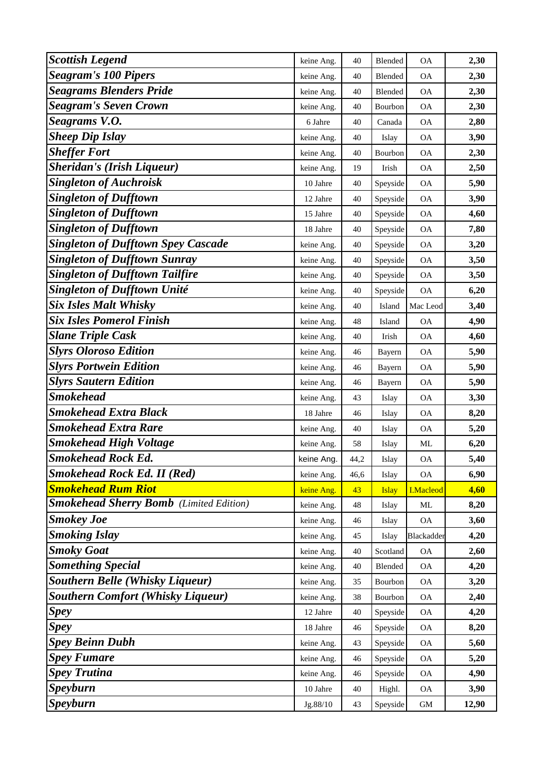| <b>Scottish Legend</b>                         | keine Ang. | 40   | Blended      | <b>OA</b>        | 2,30  |
|------------------------------------------------|------------|------|--------------|------------------|-------|
| <b>Seagram's 100 Pipers</b>                    | keine Ang. | 40   | Blended      | <b>OA</b>        | 2,30  |
| <b>Seagrams Blenders Pride</b>                 | keine Ang. | 40   | Blended      | <b>OA</b>        | 2,30  |
| <b>Seagram's Seven Crown</b>                   | keine Ang. | 40   | Bourbon      | <b>OA</b>        | 2,30  |
| Seagrams V.O.                                  | 6 Jahre    | 40   | Canada       | <b>OA</b>        | 2,80  |
| <b>Sheep Dip Islay</b>                         | keine Ang. | 40   | Islay        | <b>OA</b>        | 3,90  |
| <b>Sheffer Fort</b>                            | keine Ang. | 40   | Bourbon      | <b>OA</b>        | 2,30  |
| <b>Sheridan's (Irish Liqueur)</b>              | keine Ang. | 19   | Irish        | <b>OA</b>        | 2,50  |
| <b>Singleton of Auchroisk</b>                  | 10 Jahre   | 40   | Speyside     | <b>OA</b>        | 5,90  |
| <b>Singleton of Dufftown</b>                   | 12 Jahre   | 40   | Speyside     | <b>OA</b>        | 3,90  |
| <b>Singleton of Dufftown</b>                   | 15 Jahre   | 40   | Speyside     | <b>OA</b>        | 4,60  |
| <b>Singleton of Dufftown</b>                   | 18 Jahre   | 40   | Speyside     | <b>OA</b>        | 7,80  |
| <b>Singleton of Dufftown Spey Cascade</b>      | keine Ang. | 40   | Speyside     | <b>OA</b>        | 3,20  |
| <b>Singleton of Dufftown Sunray</b>            | keine Ang. | 40   | Speyside     | <b>OA</b>        | 3,50  |
| <b>Singleton of Dufftown Tailfire</b>          | keine Ang. | 40   | Speyside     | <b>OA</b>        | 3,50  |
| <b>Singleton of Dufftown Unité</b>             | keine Ang. | 40   | Speyside     | <b>OA</b>        | 6,20  |
| <b>Six Isles Malt Whisky</b>                   | keine Ang. | 40   | Island       | Mac Leod         | 3,40  |
| <b>Six Isles Pomerol Finish</b>                | keine Ang. | 48   | Island       | <b>OA</b>        | 4,90  |
| <b>Slane Triple Cask</b>                       | keine Ang. | 40   | Irish        | <b>OA</b>        | 4,60  |
| <b>Slyrs Oloroso Edition</b>                   | keine Ang. | 46   | Bayern       | <b>OA</b>        | 5,90  |
| <b>Slyrs Portwein Edition</b>                  | keine Ang. | 46   | Bayern       | <b>OA</b>        | 5,90  |
| <b>Slyrs Sautern Edition</b>                   | keine Ang. | 46   | Bayern       | <b>OA</b>        | 5,90  |
| <b>Smokehead</b>                               | keine Ang. | 43   | Islay        | <b>OA</b>        | 3,30  |
| <b>Smokehead Extra Black</b>                   | 18 Jahre   | 46   | Islay        | <b>OA</b>        | 8,20  |
| <b>Smokehead Extra Rare</b>                    | keine Ang. | 40   | Islay        | <b>OA</b>        | 5,20  |
| <b>Smokehead High Voltage</b>                  | keine Ang. | 58   | Islay        | ML               | 6,20  |
| <b>Smokehead Rock Ed.</b>                      | keine Ang. | 44,2 | Islay        | <b>OA</b>        | 5,40  |
| <b>Smokehead Rock Ed. II (Red)</b>             | keine Ang. | 46,6 | Islay        | <b>OA</b>        | 6,90  |
| <b>Smokehead Rum Riot</b>                      | keine Ang. | 43   | <b>Islay</b> | <b>I.Macleod</b> | 4,60  |
| <b>Smokehead Sherry Bomb</b> (Limited Edition) | keine Ang. | 48   | Islay        | ML               | 8,20  |
| <b>Smokey Joe</b>                              | keine Ang. | 46   | Islay        | <b>OA</b>        | 3,60  |
| <b>Smoking Islay</b>                           | keine Ang. | 45   | Islay        | Blackadder       | 4,20  |
| <b>Smoky Goat</b>                              | keine Ang. | 40   | Scotland     | <b>OA</b>        | 2,60  |
| <b>Something Special</b>                       | keine Ang. | 40   | Blended      | <b>OA</b>        | 4,20  |
| <b>Southern Belle (Whisky Liqueur)</b>         | keine Ang. | 35   | Bourbon      | <b>OA</b>        | 3,20  |
| <b>Southern Comfort (Whisky Liqueur)</b>       | keine Ang. | 38   | Bourbon      | <b>OA</b>        | 2,40  |
| <b>Spey</b>                                    | 12 Jahre   | 40   | Speyside     | <b>OA</b>        | 4,20  |
| <b>Spey</b>                                    | 18 Jahre   | 46   | Speyside     | OA               | 8,20  |
| <b>Spey Beinn Dubh</b>                         | keine Ang. | 43   | Speyside     | <b>OA</b>        | 5,60  |
| <b>Spey Fumare</b>                             | keine Ang. | 46   | Speyside     | <b>OA</b>        | 5,20  |
| <b>Spey Trutina</b>                            | keine Ang. | 46   | Speyside     | <b>OA</b>        | 4,90  |
| <b>Speyburn</b>                                | 10 Jahre   | 40   | Highl.       | <b>OA</b>        | 3,90  |
| <b>Speyburn</b>                                | Jg.88/10   | 43   | Speyside     | $\mbox{GM}$      | 12,90 |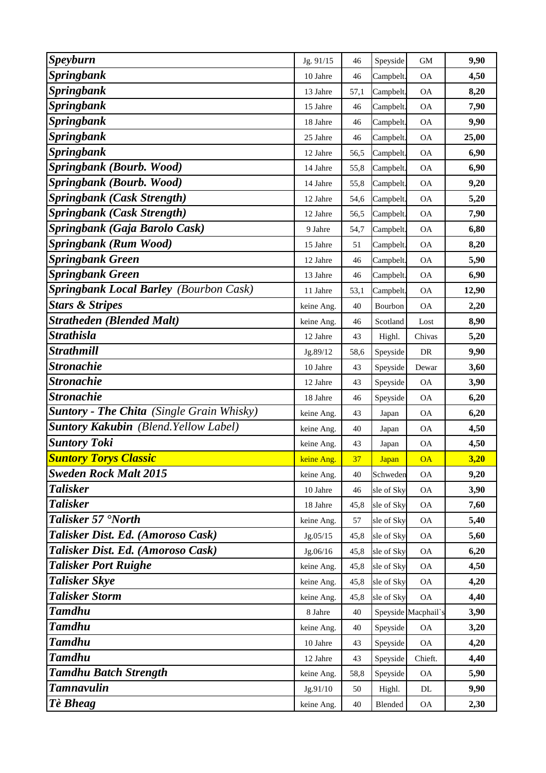| <b>Speyburn</b>                                  | Jg. 91/15  | 46   | Speyside     | <b>GM</b>                | 9,90  |
|--------------------------------------------------|------------|------|--------------|--------------------------|-------|
| <b>Springbank</b>                                | 10 Jahre   | 46   | Campbelt.    | <b>OA</b>                | 4,50  |
| <b>Springbank</b>                                | 13 Jahre   | 57,1 | Campbelt.    | <b>OA</b>                | 8,20  |
| <b>Springbank</b>                                | 15 Jahre   | 46   | Campbelt.    | <b>OA</b>                | 7,90  |
| <b>Springbank</b>                                | 18 Jahre   | 46   | Campbelt.    | <b>OA</b>                | 9,90  |
| <b>Springbank</b>                                | 25 Jahre   | 46   | Campbelt.    | <b>OA</b>                | 25,00 |
| <b>Springbank</b>                                | 12 Jahre   | 56,5 | Campbelt.    | $\mathsf{OA}$            | 6,90  |
| Springbank (Bourb. Wood)                         | 14 Jahre   | 55,8 | Campbelt.    | <b>OA</b>                | 6,90  |
| Springbank (Bourb. Wood)                         | 14 Jahre   | 55,8 | Campbelt.    | <b>OA</b>                | 9,20  |
| <b>Springbank (Cask Strength)</b>                | 12 Jahre   | 54,6 | Campbelt.    | <b>OA</b>                | 5,20  |
| <b>Springbank (Cask Strength)</b>                | 12 Jahre   | 56,5 | Campbelt.    | $\mathcal{O}\mathcal{A}$ | 7,90  |
| Springbank (Gaja Barolo Cask)                    | 9 Jahre    | 54,7 | Campbelt.    | <b>OA</b>                | 6,80  |
| <b>Springbank (Rum Wood)</b>                     | 15 Jahre   | 51   | Campbelt.    | <b>OA</b>                | 8,20  |
| <b>Springbank Green</b>                          | 12 Jahre   | 46   | Campbelt.    | <b>OA</b>                | 5,90  |
| <b>Springbank Green</b>                          | 13 Jahre   | 46   | Campbelt.    | <b>OA</b>                | 6,90  |
| <b>Springbank Local Barley (Bourbon Cask)</b>    | 11 Jahre   | 53,1 | Campbelt.    | <b>OA</b>                | 12,90 |
| <b>Stars &amp; Stripes</b>                       | keine Ang. | 40   | Bourbon      | <b>OA</b>                | 2,20  |
| <b>Stratheden (Blended Malt)</b>                 | keine Ang. | 46   | Scotland     | Lost                     | 8,90  |
| <b>Strathisla</b>                                | 12 Jahre   | 43   | Highl.       | Chivas                   | 5,20  |
| <b>Strathmill</b>                                | Jg.89/12   | 58,6 | Speyside     | DR                       | 9,90  |
| <b>Stronachie</b>                                | 10 Jahre   | 43   | Speyside     | Dewar                    | 3,60  |
| <b>Stronachie</b>                                | 12 Jahre   | 43   | Speyside     | <b>OA</b>                | 3,90  |
| <b>Stronachie</b>                                | 18 Jahre   | 46   | Speyside     | <b>OA</b>                | 6,20  |
| <b>Suntory - The Chita</b> (Single Grain Whisky) | keine Ang. | 43   | Japan        | <b>OA</b>                | 6,20  |
| <b>Suntory Kakubin</b> (Blend. Yellow Label)     | keine Ang. | 40   | Japan        | <b>OA</b>                | 4,50  |
| <b>Suntory Toki</b>                              | keine Ang. | 43   | Japan        | ОA                       | 4,50  |
| <b>Suntory Torys Classic</b>                     | keine Ang. | 37   | <b>Japan</b> | <b>OA</b>                | 3,20  |
| <b>Sweden Rock Malt 2015</b>                     | keine Ang. | 40   | Schweden     | <b>OA</b>                | 9,20  |
| <b>Talisker</b>                                  | 10 Jahre   | 46   | sle of Sky   | OA                       | 3,90  |
| <b>Talisker</b>                                  | 18 Jahre   | 45,8 | sle of Sky   | <b>OA</b>                | 7,60  |
| Talisker 57 'North                               | keine Ang. | 57   | sle of Sky   | <b>OA</b>                | 5,40  |
| Talisker Dist. Ed. (Amoroso Cask)                | Jg.05/15   | 45,8 | sle of Sky   | <b>OA</b>                | 5,60  |
| Talisker Dist. Ed. (Amoroso Cask)                | Jg.06/16   | 45,8 | sle of Sky   | <b>OA</b>                | 6,20  |
| <b>Talisker Port Ruighe</b>                      | keine Ang. | 45,8 | sle of Sky   | <b>OA</b>                | 4,50  |
| <b>Talisker Skye</b>                             | keine Ang. | 45,8 | sle of Sky   | <b>OA</b>                | 4,20  |
| <b>Talisker Storm</b>                            | keine Ang. | 45,8 | sle of Sky   | <b>OA</b>                | 4,40  |
| <b>Tamdhu</b>                                    | 8 Jahre    | 40   |              | Speyside Macphail's      | 3,90  |
| <b>Tamdhu</b>                                    | keine Ang. | 40   | Speyside     | <b>OA</b>                | 3,20  |
| <b>Tamdhu</b>                                    | 10 Jahre   | 43   | Speyside     | <b>OA</b>                | 4,20  |
| <b>Tamdhu</b>                                    | 12 Jahre   | 43   | Speyside     | Chieft.                  | 4,40  |
| <b>Tamdhu Batch Strength</b>                     | keine Ang. | 58,8 | Speyside     | <b>OA</b>                | 5,90  |
| <b>Tamnavulin</b>                                | Jg.91/10   | 50   | Highl.       | DL                       | 9,90  |
| Tè Bheag                                         | keine Ang. | 40   | Blended      | <b>OA</b>                | 2,30  |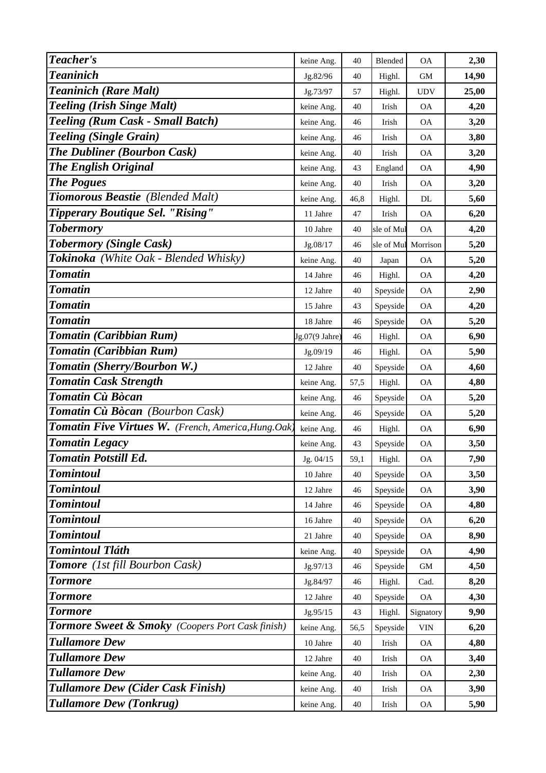| Teacher's                                                   | keine Ang.     | 40   | Blended        | <b>OA</b>                 | 2,30  |
|-------------------------------------------------------------|----------------|------|----------------|---------------------------|-------|
| <b>Teaninich</b>                                            | Jg.82/96       | 40   | Highl.         | GM                        | 14,90 |
| <b>Teaninich (Rare Malt)</b>                                | Jg.73/97       | 57   | Highl.         | <b>UDV</b>                | 25,00 |
| <b>Teeling (Irish Singe Malt)</b>                           | keine Ang.     | 40   | Irish          | <b>OA</b>                 | 4,20  |
| Teeling (Rum Cask - Small Batch)                            | keine Ang.     | 46   | Irish          | <b>OA</b>                 | 3,20  |
| <b>Teeling (Single Grain)</b>                               | keine Ang.     | 46   | Irish          | <b>OA</b>                 | 3,80  |
| <b>The Dubliner (Bourbon Cask)</b>                          | keine Ang.     | 40   | Irish          | <b>OA</b>                 | 3,20  |
| <b>The English Original</b>                                 | keine Ang.     | 43   | England        | <b>OA</b>                 | 4,90  |
| <b>The Pogues</b>                                           | keine Ang.     | 40   | Irish          | <b>OA</b>                 | 3,20  |
| Tiomorous Beastie (Blended Malt)                            | keine Ang.     | 46,8 | Highl.         | DL                        | 5,60  |
| <b>Tipperary Boutique Sel. "Rising"</b>                     | 11 Jahre       | 47   | Irish          | $\rm OA$                  | 6,20  |
| <b>Tobermory</b>                                            | 10 Jahre       | 40   | sle of Mul     | <b>OA</b>                 | 4,20  |
| <b>Tobermory (Single Cask)</b>                              | Jg.08/17       | 46   | sle of Mul     | Morrison                  | 5,20  |
| Tokinoka (White Oak - Blended Whisky)                       | keine Ang.     | 40   | Japan          | <b>OA</b>                 | 5,20  |
| <b>Tomatin</b>                                              | 14 Jahre       | 46   | Highl.         | <b>OA</b>                 | 4,20  |
| <b>Tomatin</b>                                              | 12 Jahre       | 40   | Speyside       | <b>OA</b>                 | 2,90  |
| <b>Tomatin</b>                                              | 15 Jahre       | 43   | Speyside       | <b>OA</b>                 | 4,20  |
| <b>Tomatin</b>                                              | 18 Jahre       | 46   | Speyside       | <b>OA</b>                 | 5,20  |
| Tomatin (Caribbian Rum)                                     | Jg.07(9 Jahre) | 46   | Highl.         | <b>OA</b>                 | 6,90  |
| Tomatin (Caribbian Rum)                                     | Jg.09/19       | 46   | Highl.         | <b>OA</b>                 | 5,90  |
| Tomatin (Sherry/Bourbon W.)                                 | 12 Jahre       | 40   | Speyside       | <b>OA</b>                 | 4,60  |
| <b>Tomatin Cask Strength</b>                                | keine Ang.     | 57,5 | Highl.         | <b>OA</b>                 | 4,80  |
| Tomatin Cù Bòcan                                            | keine Ang.     | 46   | Speyside       | <b>OA</b>                 | 5,20  |
| Tomatin Cù Bòcan (Bourbon Cask)                             | keine Ang.     | 46   | Speyside       | <b>OA</b>                 | 5,20  |
| Tomatin Five Virtues W. (French, America, Hung.Oak)         | keine Ang.     | 46   | Highl.         | <b>OA</b>                 | 6,90  |
| <b>Tomatin Legacy</b>                                       | keine Ang.     | 43   | Speyside       | <b>OA</b>                 | 3,50  |
| <b>Tomatin Potstill Ed.</b>                                 | Jg. 04/15      | 59,1 | Highl.         | <b>OA</b>                 | 7,90  |
| <b>Tomintoul</b>                                            | 10 Jahre       | 40   | Speyside       | <b>OA</b>                 | 3,50  |
| <b>Tomintoul</b>                                            | 12 Jahre       | 46   | Speyside       | OA                        | 3,90  |
| <b>Tomintoul</b>                                            | 14 Jahre       | 46   | Speyside       | <b>OA</b>                 | 4,80  |
| <b>Tomintoul</b>                                            | 16 Jahre       | 40   | Speyside       | <b>OA</b>                 | 6,20  |
| <b>Tomintoul</b>                                            | 21 Jahre       | 40   | Speyside       | <b>OA</b>                 | 8,90  |
| <b>Tomintoul Tláth</b>                                      | keine Ang.     | 40   | Speyside       | <b>OA</b>                 | 4,90  |
| <b>Tomore</b> (1st fill Bourbon Cask)                       | Jg.97/13       | 46   | Speyside       | GM                        | 4,50  |
| <b>Tormore</b>                                              | Jg.84/97       | 46   | Highl.         | Cad.                      | 8,20  |
| <b>Tormore</b>                                              | 12 Jahre       | 40   | Speyside       | <b>OA</b>                 | 4,30  |
| <b>Tormore</b>                                              | Jg.95/15       | 43   | Highl.         | Signatory                 | 9,90  |
| <b>Tormore Sweet &amp; Smoky</b> (Coopers Port Cask finish) | keine Ang.     | 56,5 | Speyside       | $\ensuremath{\text{VIN}}$ | 6,20  |
| <b>Tullamore Dew</b>                                        | 10 Jahre       | 40   | Irish          | <b>OA</b>                 | 4,80  |
| <b>Tullamore Dew</b>                                        | 12 Jahre       | 40   | Irish          | <b>OA</b>                 | 3,40  |
| <b>Tullamore Dew</b>                                        | keine Ang.     | 40   | Irish          | <b>OA</b>                 | 2,30  |
| <b>Tullamore Dew (Cider Cask Finish)</b>                    | keine Ang.     | 40   | Irish          | <b>OA</b>                 | 3,90  |
| <b>Tullamore Dew (Tonkrug)</b>                              | keine Ang.     | 40   | $_{\rm Irish}$ | <b>OA</b>                 | 5,90  |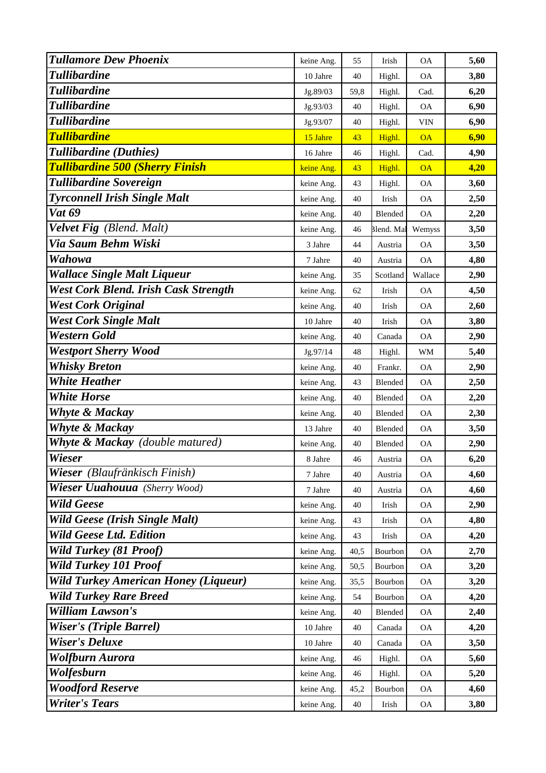| <b>Tullamore Dew Phoenix</b>                | keine Ang. | 55   | Irish      | <b>OA</b>  | 5,60 |
|---------------------------------------------|------------|------|------------|------------|------|
| <b>Tullibardine</b>                         | 10 Jahre   | 40   | Highl.     | <b>OA</b>  | 3,80 |
| <b>Tullibardine</b>                         | Jg.89/03   | 59,8 | Highl.     | Cad.       | 6,20 |
| <b>Tullibardine</b>                         | Jg.93/03   | 40   | Highl.     | <b>OA</b>  | 6,90 |
| <b>Tullibardine</b>                         | Jg.93/07   | 40   | Highl.     | <b>VIN</b> | 6,90 |
| <b>Tullibardine</b>                         | 15 Jahre   | 43   | Highl.     | <b>OA</b>  | 6,90 |
| Tullibardine (Duthies)                      | 16 Jahre   | 46   | Highl.     | Cad.       | 4,90 |
| <b>Tullibardine 500 (Sherry Finish</b>      | keine Ang. | 43   | Highl.     | <b>OA</b>  | 4,20 |
| <b>Tullibardine Sovereign</b>               | keine Ang. | 43   | Highl.     | <b>OA</b>  | 3,60 |
| <b>Tyrconnell Irish Single Malt</b>         | keine Ang. | 40   | Irish      | <b>OA</b>  | 2,50 |
| <b>Vat 69</b>                               | keine Ang. | 40   | Blended    | <b>OA</b>  | 2,20 |
| Velvet Fig (Blend. Malt)                    | keine Ang. | 46   | Blend. Mal | Wemyss     | 3,50 |
| Via Saum Behm Wiski                         | 3 Jahre    | 44   | Austria    | <b>OA</b>  | 3,50 |
| Wahowa                                      | 7 Jahre    | 40   | Austria    | <b>OA</b>  | 4,80 |
| <b>Wallace Single Malt Liqueur</b>          | keine Ang. | 35   | Scotland   | Wallace    | 2,90 |
| West Cork Blend. Irish Cask Strength        | keine Ang. | 62   | Irish      | <b>OA</b>  | 4,50 |
| <b>West Cork Original</b>                   | keine Ang. | 40   | Irish      | <b>OA</b>  | 2,60 |
| <b>West Cork Single Malt</b>                | 10 Jahre   | 40   | Irish      | <b>OA</b>  | 3,80 |
| <b>Western Gold</b>                         | keine Ang. | 40   | Canada     | <b>OA</b>  | 2,90 |
| <b>Westport Sherry Wood</b>                 | Jg.97/14   | 48   | Highl.     | WM         | 5,40 |
| <b>Whisky Breton</b>                        | keine Ang. | 40   | Frankr.    | <b>OA</b>  | 2,90 |
| <b>White Heather</b>                        | keine Ang. | 43   | Blended    | <b>OA</b>  | 2,50 |
| <b>White Horse</b>                          | keine Ang. | 40   | Blended    | ОA         | 2,20 |
| <b>Whyte &amp; Mackay</b>                   | keine Ang. | 40   | Blended    | <b>OA</b>  | 2,30 |
| <b>Whyte &amp; Mackay</b>                   | 13 Jahre   | 40   | Blended    | <b>OA</b>  | 3,50 |
| <b>Whyte &amp; Mackay</b> (double matured)  | keine Ang. | 40   | Blended    | <b>OA</b>  | 2,90 |
| Wieser                                      | 8 Jahre    | 46   | Austria    | <b>OA</b>  | 6,20 |
| Wieser (Blaufränkisch Finish)               | 7 Jahre    | 40   | Austria    | ОA         | 4,60 |
| Wieser Uuahouua (Sherry Wood)               | 7 Jahre    | 40   | Austria    | <b>OA</b>  | 4,60 |
| <b>Wild Geese</b>                           | keine Ang. | 40   | Irish      | <b>OA</b>  | 2,90 |
| <b>Wild Geese (Irish Single Malt)</b>       | keine Ang. | 43   | Irish      | <b>OA</b>  | 4,80 |
| <b>Wild Geese Ltd. Edition</b>              | keine Ang. | 43   | Irish      | <b>OA</b>  | 4,20 |
| <b>Wild Turkey (81 Proof)</b>               | keine Ang. | 40,5 | Bourbon    | <b>OA</b>  | 2,70 |
| <b>Wild Turkey 101 Proof</b>                | keine Ang. | 50,5 | Bourbon    | <b>OA</b>  | 3,20 |
| <b>Wild Turkey American Honey (Liqueur)</b> | keine Ang. | 35,5 | Bourbon    | <b>OA</b>  | 3,20 |
| <b>Wild Turkey Rare Breed</b>               | keine Ang. | 54   | Bourbon    | <b>OA</b>  | 4,20 |
| <b>William Lawson's</b>                     | keine Ang. | 40   | Blended    | <b>OA</b>  | 2,40 |
| <b>Wiser's (Triple Barrel)</b>              | 10 Jahre   | 40   | Canada     | OA         | 4,20 |
| <b>Wiser's Deluxe</b>                       | 10 Jahre   | 40   | Canada     | <b>OA</b>  | 3,50 |
| <b>Wolfburn Aurora</b>                      | keine Ang. | 46   | Highl.     | <b>OA</b>  | 5,60 |
| Wolfesburn                                  | keine Ang. | 46   | Highl.     | <b>OA</b>  | 5,20 |
| <b>Woodford Reserve</b>                     | keine Ang. | 45,2 | Bourbon    | <b>OA</b>  | 4,60 |
| <b>Writer's Tears</b>                       | keine Ang. | 40   | Irish      | <b>OA</b>  | 3,80 |